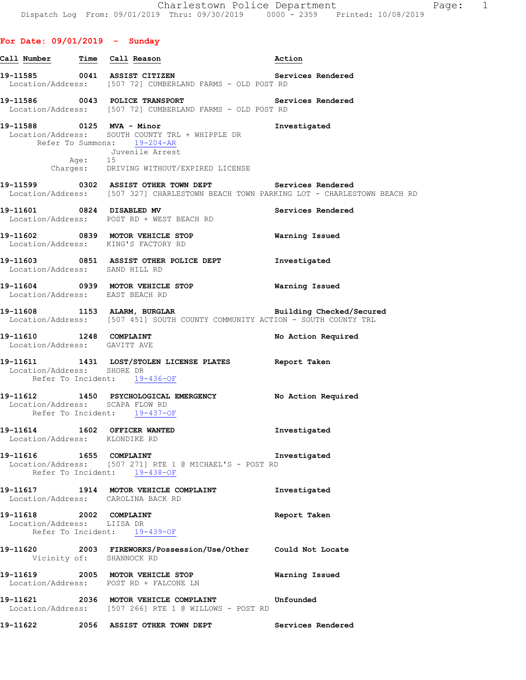# **For Date: 09/01/2019 - Sunday**

|                                                               | Call Number Time Call Reason                                                                                                                                                          | Action                |
|---------------------------------------------------------------|---------------------------------------------------------------------------------------------------------------------------------------------------------------------------------------|-----------------------|
|                                                               | Services Rendered<br>19-11585 0041 ASSIST CITIZEN<br>Location/Address: [507 72] CUMBERLAND FARMS - OLD POST RD                                                                        |                       |
|                                                               | 19-11586   0043   POLICE TRANSPORT    QUE   Services Rendered<br>Location/Address: [507 72] CUMBERLAND FARMS - OLD POST RD                                                            |                       |
|                                                               | 19-11588 0125 MVA - Minor<br>Location/Address: SOUTH COUNTY TRL + WHIPPLE DR<br>Refer To Summons: 19-204-AR<br>Juvenile Arrest<br>Age: 15<br>Charges: DRIVING WITHOUT/EXPIRED LICENSE | Investigated          |
|                                                               | 19-11599 0302 ASSIST OTHER TOWN DEPT Services Rendered<br>Location/Address: [507 327] CHARLESTOWN BEACH TOWN PARKING LOT - CHARLESTOWN BEACH RD                                       |                       |
|                                                               | 19-11601 0824 DISABLED MV<br>Location/Address: POST RD + WEST BEACH RD                                                                                                                | Services Rendered     |
|                                                               | 19-11602 0839 MOTOR VEHICLE STOP<br>Location/Address: KING'S FACTORY RD                                                                                                               | <b>Warning Issued</b> |
| Location/Address: SAND HILL RD                                | 19-11603 0851 ASSIST OTHER POLICE DEPT 1nvestigated                                                                                                                                   |                       |
| Location/Address: EAST BEACH RD                               | 19-11604 0939 MOTOR VEHICLE STOP 6 Warning Issued                                                                                                                                     |                       |
|                                                               | 19-11608 1153 ALARM, BURGLAR 19-11608 Building Checked/Secured<br>Location/Address: [507 451] SOUTH COUNTY COMMUNITY ACTION - SOUTH COUNTY TRL                                        |                       |
| Location/Address: GAVITT AVE                                  | 19-11610 1248 COMPLAINT                                                                                                                                                               | No Action Required    |
| Location/Address: SHORE DR                                    | 19-11611 1431 LOST/STOLEN LICENSE PLATES Report Taken<br>Refer To Incident: 19-436-OF                                                                                                 |                       |
| Location/Address: SCAPA FLOW RD                               | 19-11612 1450 PSYCHOLOGICAL EMERGENCY No Action Required<br>Refer To Incident: 19-437-OF                                                                                              |                       |
| 19-11614 1602 OFFICER WANTED<br>Location/Address: KLONDIKE RD |                                                                                                                                                                                       | Investigated          |
| 19-11616   1655   COMPLAINT                                   | Location/Address: [507 271] RTE 1 @ MICHAEL'S - POST RD<br>Refer To Incident: 19-438-OF                                                                                               | Investigated          |
|                                                               | 19-11617 1914 MOTOR VEHICLE COMPLAINT<br>Location/Address: CAROLINA BACK RD                                                                                                           | Investigated          |
| 19-11618 2002 COMPLAINT<br>Location/Address: LIISA DR         | Refer To Incident: 19-439-OF                                                                                                                                                          | Report Taken          |
|                                                               | 19-11620 2003 FIREWORKS/Possession/Use/Other Could Not Locate<br>Vicinity of: SHANNOCK RD                                                                                             |                       |
|                                                               | 19-11619 2005 MOTOR VEHICLE STOP<br>Location/Address: POST RD + FALCONE LN                                                                                                            | Warning Issued        |
|                                                               | 19-11621 2036 MOTOR VEHICLE COMPLAINT<br>Location/Address: [507 266] RTE 1 @ WILLOWS - POST RD                                                                                        | Unfounded             |
|                                                               | 19-11622 2056 ASSIST OTHER TOWN DEPT                                                                                                                                                  | Services Rendered     |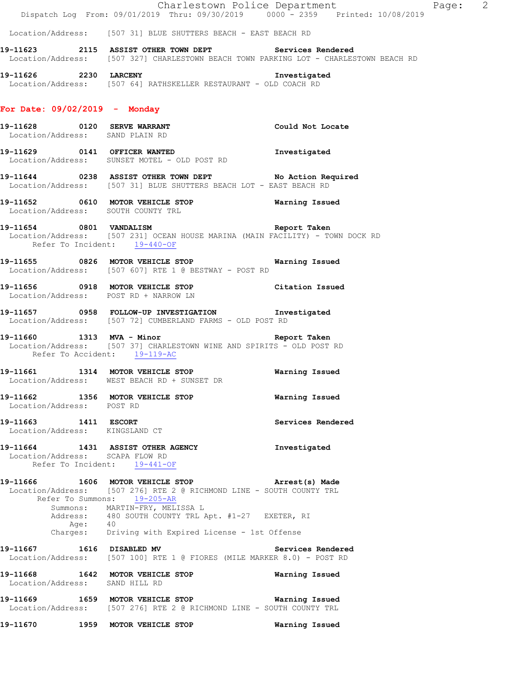|                                                        | Dispatch Log From: 09/01/2019 Thru: 09/30/2019 0000 - 2359 Printed: 10/08/2019                                                                                                              | Charlestown Police Department | Page: 2 |  |
|--------------------------------------------------------|---------------------------------------------------------------------------------------------------------------------------------------------------------------------------------------------|-------------------------------|---------|--|
|                                                        | Location/Address: [507 31] BLUE SHUTTERS BEACH - EAST BEACH RD                                                                                                                              |                               |         |  |
|                                                        | 19-11623 2115 ASSIST OTHER TOWN DEPT Services Rendered<br>Location/Address: [507 327] CHARLESTOWN BEACH TOWN PARKING LOT - CHARLESTOWN BEACH RD                                             |                               |         |  |
| 19-11626 2230 LARCENY                                  | Location/Address: [507 64] RATHSKELLER RESTAURANT - OLD COACH RD                                                                                                                            | Investigated                  |         |  |
| For Date: 09/02/2019 - Monday                          |                                                                                                                                                                                             |                               |         |  |
| Location/Address: SAND PLAIN RD                        | 19-11628 0120 SERVE WARRANT Could Not Locate                                                                                                                                                |                               |         |  |
|                                                        | 19-11629 0141 OFFICER WANTED 19-11629 Investigated<br>Location/Address: SUNSET MOTEL - OLD POST RD                                                                                          |                               |         |  |
|                                                        | 19-11644 0238 ASSIST OTHER TOWN DEPT No Action Required<br>Location/Address: [507 31] BLUE SHUTTERS BEACH LOT - EAST BEACH RD                                                               |                               |         |  |
| Location/Address: SOUTH COUNTY TRL                     |                                                                                                                                                                                             |                               |         |  |
| Refer To Incident: 19-440-OF                           | $19-11654$ 0801 VANDALISM<br>Location/Address: [507 231] OCEAN HOUSE MARINA (MAIN FACILITY) - TOWN DOCK RD                                                                                  | Report Taken                  |         |  |
|                                                        | 19-11655 0826 MOTOR VEHICLE STOP 6 Warning Issued<br>Location/Address: [507 607] RTE 1 @ BESTWAY - POST RD                                                                                  |                               |         |  |
| Location/Address: POST RD + NARROW LN                  | 19-11656 0918 MOTOR VEHICLE STOP Citation Issued                                                                                                                                            |                               |         |  |
|                                                        | 19-11657 0958 FOLLOW-UP INVESTIGATION Investigated<br>Location/Address: [507 72] CUMBERLAND FARMS - OLD POST RD                                                                             |                               |         |  |
| Refer To Accident: 19-119-AC                           | 19-11660 1313 MVA - Minor 1997 Report Taken<br>Location/Address: [507 37] CHARLESTOWN WINE AND SPIRITS - OLD POST RD                                                                        |                               |         |  |
|                                                        | -<br>19-11661 1314 MOTOR VEHICLE STOP 6 Warning Issued<br>Location/Address: WEST BEACH RD + SUNSET DR                                                                                       |                               |         |  |
| Location/Address: POST RD                              | 19-11662 1356 MOTOR VEHICLE STOP                                                                                                                                                            | Warning Issued                |         |  |
| 19-11663 1411 ESCORT<br>Location/Address: KINGSLAND CT |                                                                                                                                                                                             | Services Rendered             |         |  |
| Location/Address: SCAPA FLOW RD                        | 19-11664 1431 ASSIST OTHER AGENCY<br>Refer To Incident: 19-441-OF                                                                                                                           | Investigated                  |         |  |
|                                                        | 19-11666 1606 MOTOR VEHICLE STOP 3 Arrest (s) Made<br>Location/Address: [507 276] RTE 2 @ RICHMOND LINE - SOUTH COUNTY TRL<br>Refer To Summons: 19-205-AR<br>Summons: MARTIN-FRY, MELISSA L |                               |         |  |
| Age: 40                                                | Address: 480 SOUTH COUNTY TRL Apt. #1-27 EXETER, RI<br>Charges: Driving with Expired License - 1st Offense                                                                                  |                               |         |  |
|                                                        | 19-11667 1616 DISABLED MV<br>Location/Address: [507 100] RTE 1 @ FIORES (MILE MARKER 8.0) - POST RD                                                                                         | Services Rendered             |         |  |
| Location/Address: SAND HILL RD                         | 19-11668 1642 MOTOR VEHICLE STOP                                                                                                                                                            | Warning Issued                |         |  |
|                                                        | 19-11669   1659   MOTOR VEHICLE STOP    Varning Issued<br>Location/Address: [507 276] RTE 2 @ RICHMOND LINE - SOUTH COUNTY TRL                                                              |                               |         |  |
| 19-11670 1959 MOTOR VEHICLE STOP                       |                                                                                                                                                                                             | Warning Issued                |         |  |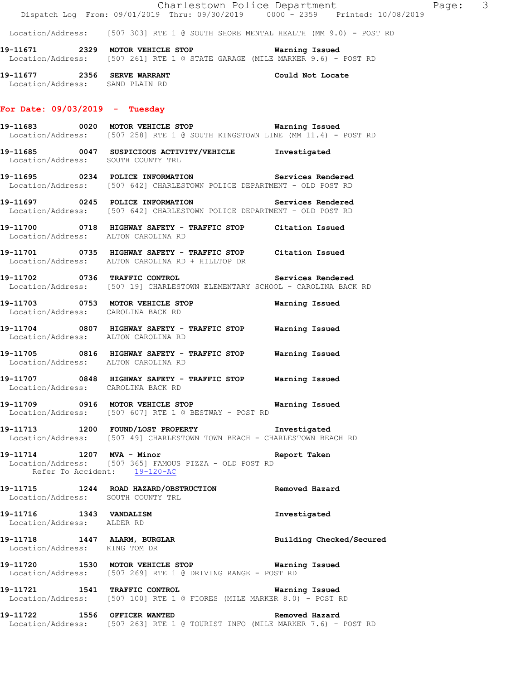|                                                                | Dispatch Log From: 09/01/2019 Thru: 09/30/2019 0000 <sup>-</sup> 2359 Printed: 10/08/2019                                           | Charlestown Police Department<br>Page: 3 |  |
|----------------------------------------------------------------|-------------------------------------------------------------------------------------------------------------------------------------|------------------------------------------|--|
|                                                                | Location/Address: [507 303] RTE 1 @ SOUTH SHORE MENTAL HEALTH (MM 9.0) - POST RD                                                    |                                          |  |
|                                                                | 19-11671 2329 MOTOR VEHICLE STOP 6 Warning Issued<br>Location/Address: [507 261] RTE 1 @ STATE GARAGE (MILE MARKER 9.6) - POST RD   |                                          |  |
| 19-11677 2356 SERVE WARRANT<br>Location/Address: SAND PLAIN RD |                                                                                                                                     | Could Not Locate                         |  |
| For Date: $09/03/2019$ - Tuesday                               |                                                                                                                                     |                                          |  |
|                                                                | Location/Address: [507 258] RTE 1 @ SOUTH KINGSTOWN LINE (MM 11.4) - POST RD                                                        |                                          |  |
| Location/Address: SOUTH COUNTY TRL                             | 19-11685 0047 SUSPICIOUS ACTIVITY/VEHICLE Investigated                                                                              |                                          |  |
|                                                                | 19-11695 0234 POLICE INFORMATION Services Rendered<br>Location/Address: [507 642] CHARLESTOWN POLICE DEPARTMENT - OLD POST RD       |                                          |  |
|                                                                | 19-11697 		 0245 POLICE INFORMATION 		 Services Rendered<br>Location/Address: [507 642] CHARLESTOWN POLICE DEPARTMENT - OLD POST RD |                                          |  |
| Location/Address: ALTON CAROLINA RD                            | 19-11700 0718 HIGHWAY SAFETY - TRAFFIC STOP Citation Issued                                                                         |                                          |  |
|                                                                | 19-11701 0735 HIGHWAY SAFETY - TRAFFIC STOP Citation Issued<br>Location/Address: ALTON CAROLINA RD + HILLTOP DR                     |                                          |  |
|                                                                | 19-11702 0736 TRAFFIC CONTROL Services Rendered<br>Location/Address: [507 19] CHARLESTOWN ELEMENTARY SCHOOL - CAROLINA BACK RD      |                                          |  |
| Location/Address: CAROLINA BACK RD                             | 19-11703 0753 MOTOR VEHICLE STOP                                                                                                    | Warning Issued                           |  |
| Location/Address: ALTON CAROLINA RD                            | 19-11704 0807 HIGHWAY SAFETY - TRAFFIC STOP Warning Issued                                                                          |                                          |  |
| Location/Address: ALTON CAROLINA RD                            | 19-11705 0816 HIGHWAY SAFETY - TRAFFIC STOP Warning Issued                                                                          |                                          |  |
| Location/Address: CAROLINA BACK RD                             | 19-11707 0848 HIGHWAY SAFETY - TRAFFIC STOP Warning Issued                                                                          |                                          |  |
|                                                                | 19-11709 0916 MOTOR VEHICLE STOP 6 Warning Issued<br>Location/Address: [507 607] RTE 1 @ BESTWAY - POST RD                          |                                          |  |
|                                                                | 19-11713 1200 FOUND/LOST PROPERTY Investigated<br>Location/Address: [507 49] CHARLESTOWN TOWN BEACH - CHARLESTOWN BEACH RD          |                                          |  |
| 19-11714 1207 MVA - Minor<br>Refer To Accident: 19-120-AC      | Location/Address: [507 365] FAMOUS PIZZA - OLD POST RD                                                                              | Report Taken                             |  |
| Location/Address: SOUTH COUNTY TRL                             | 19-11715 1244 ROAD HAZARD/OBSTRUCTION Removed Hazard                                                                                |                                          |  |
| 19-11716 1343 VANDALISM<br>Location/Address: ALDER RD          |                                                                                                                                     | Investigated                             |  |
| Location/Address: KING TOM DR                                  | 19-11718 1447 ALARM, BURGLAR                                                                                                        | Building Checked/Secured                 |  |
|                                                                | 19-11720 1530 MOTOR VEHICLE STOP <b>Warning Issued</b><br>Location/Address: [507 269] RTE 1 @ DRIVING RANGE - POST RD               |                                          |  |
|                                                                | 19-11721 1541 TRAFFIC CONTROL<br>Location/Address: [507 100] RTE 1 @ FIORES (MILE MARKER 8.0) - POST RD                             | Warning Issued                           |  |
| 19-11722 1556 OFFICER WANTED                                   |                                                                                                                                     | Removed Hazard                           |  |

Location/Address: [507 263] RTE 1 @ TOURIST INFO (MILE MARKER 7.6) - POST RD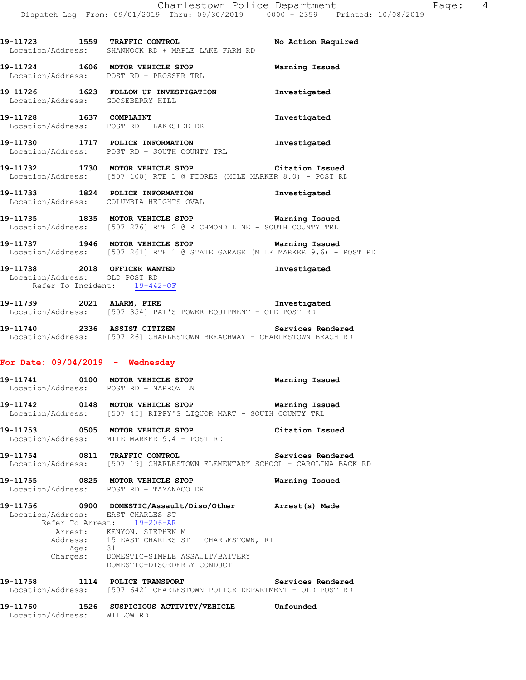**19-11723 1559 TRAFFIC CONTROL No Action Required** 

**19-11724 1606 MOTOR VEHICLE STOP Warning Issued** 

Location/Address: SHANNOCK RD + MAPLE LAKE FARM RD

Location/Address: POST RD + PROSSER TRL

**19-11726 1623 FOLLOW-UP INVESTIGATION Investigated**  Location/Address: GOOSEBERRY HILL **19-11728 1637 COMPLAINT Investigated**  Location/Address: POST RD + LAKESIDE DR **19-11730 1717 POLICE INFORMATION Investigated**  Location/Address: POST RD + SOUTH COUNTY TRL **19-11732 1730 MOTOR VEHICLE STOP Citation Issued**  Location/Address: [507 100] RTE 1 @ FIORES (MILE MARKER 8.0) - POST RD **19-11733 1824 POLICE INFORMATION Investigated**  Location/Address: COLUMBIA HEIGHTS OVAL **19-11735 1835 MOTOR VEHICLE STOP Warning Issued**  Location/Address: [507 276] RTE 2 @ RICHMOND LINE - SOUTH COUNTY TRL **19-11737 1946 MOTOR VEHICLE STOP Warning Issued**  Location/Address: [507 261] RTE 1 @ STATE GARAGE (MILE MARKER 9.6) - POST RD **19-11738 2018 OFFICER WANTED Investigated**  Location/Address: OLD POST RD Refer To Incident: 19-442-OF **19-11739 2021 ALARM, FIRE Investigated**  Location/Address: [507 354] PAT'S POWER EQUIPMENT - OLD POST RD **19-11740 2336 ASSIST CITIZEN Services Rendered**  Location/Address: [507 26] CHARLESTOWN BREACHWAY - CHARLESTOWN BEACH RD **For Date: 09/04/2019 - Wednesday 19-11741 0100 MOTOR VEHICLE STOP Warning Issued**  Location/Address: POST RD + NARROW LN **19-11742 0148 MOTOR VEHICLE STOP Warning Issued**  Location/Address: [507 45] RIPPY'S LIQUOR MART - SOUTH COUNTY TRL **19-11753 0505 MOTOR VEHICLE STOP Citation Issued**  Location/Address: MILE MARKER 9.4 - POST RD **19-11754 0811 TRAFFIC CONTROL Services Rendered**  Location/Address: [507 19] CHARLESTOWN ELEMENTARY SCHOOL - CAROLINA BACK RD **19-11755 0825 MOTOR VEHICLE STOP Warning Issued**  Location/Address: POST RD + TAMANACO DR **19-11756 0900 DOMESTIC/Assault/Diso/Other Arrest(s) Made**  Location/Address: EAST CHARLES ST Refer To Arrest: 19-206-AR Arrest: KENYON, STEPHEN M Address: 15 EAST CHARLES ST CHARLESTOWN, RI Age: 31 Charges: DOMESTIC-SIMPLE ASSAULT/BATTERY DOMESTIC-DISORDERLY CONDUCT **19-11758 1114 POLICE TRANSPORT Services Rendered**  Location/Address: [507 642] CHARLESTOWN POLICE DEPARTMENT - OLD POST RD

**19-11760 1526 SUSPICIOUS ACTIVITY/VEHICLE Unfounded** 

Location/Address: WILLOW RD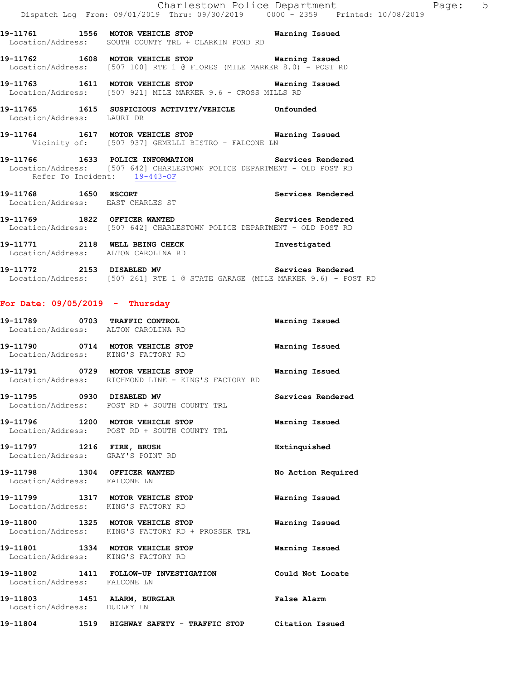**19-11761 1556 MOTOR VEHICLE STOP Warning Issued**  Location/Address: SOUTH COUNTY TRL + CLARKIN POND RD

**19-11762 1608 MOTOR VEHICLE STOP Warning Issued**  Location/Address: [507 100] RTE 1 @ FIORES (MILE MARKER 8.0) - POST RD

**19-11763 1611 MOTOR VEHICLE STOP Warning Issued**  Location/Address: [507 921] MILE MARKER 9.6 - CROSS MILLS RD

**19-11765 1615 SUSPICIOUS ACTIVITY/VEHICLE Unfounded**  Location/Address: LAURI DR

**19-11764 1617 MOTOR VEHICLE STOP Warning Issued**  Vicinity of: [507 937] GEMELLI BISTRO - FALCONE LN

**19-11766 1633 POLICE INFORMATION Services Rendered**  Location/Address: [507 642] CHARLESTOWN POLICE DEPARTMENT - OLD POST RD Refer To Incident: 19-443-OF

**19-11768 1650 ESCORT Services Rendered**  Location/Address: EAST CHARLES ST

**19-11769 1822 OFFICER WANTED Services Rendered**  Location/Address: [507 642] CHARLESTOWN POLICE DEPARTMENT - OLD POST RD

19-11771 2118 WELL BEING CHECK **Investigated** Location/Address: ALTON CAROLINA RD

**19-11772 2153 DISABLED MV Services Rendered**  Location/Address: [507 261] RTE 1 @ STATE GARAGE (MILE MARKER 9.6) - POST RD

### **For Date: 09/05/2019 - Thursday**

| 19-11789 0703 TRAFFIC CONTROL<br>Location/Address: ALTON CAROLINA RD    |                                                                                         | Warning Issued     |
|-------------------------------------------------------------------------|-----------------------------------------------------------------------------------------|--------------------|
| 19-11790 0714 MOTOR VEHICLE STOP<br>Location/Address: KING'S FACTORY RD |                                                                                         | Warning Issued     |
|                                                                         | 19-11791 0729 MOTOR VEHICLE STOP<br>Location/Address: RICHMOND LINE - KING'S FACTORY RD | Warning Issued     |
| 19-11795 0930 DISABLED MV                                               | Location/Address: POST RD + SOUTH COUNTY TRL                                            | Services Rendered  |
|                                                                         | 19-11796 1200 MOTOR VEHICLE STOP<br>Location/Address: POST RD + SOUTH COUNTY TRL        | Warning Issued     |
| 19-11797 1216 FIRE, BRUSH<br>Location/Address: GRAY'S POINT RD          |                                                                                         | Extinquished       |
| 19-11798 1304 OFFICER WANTED<br>Location/Address: FALCONE LN            |                                                                                         | No Action Required |
| 19-11799 1317 MOTOR VEHICLE STOP<br>Location/Address: KING'S FACTORY RD |                                                                                         | Warning Issued     |
|                                                                         | 19-11800 1325 MOTOR VEHICLE STOP<br>Location/Address: KING'S FACTORY RD + PROSSER TRL   | Warning Issued     |
| 19-11801 1334 MOTOR VEHICLE STOP<br>Location/Address: KING'S FACTORY RD |                                                                                         | Warning Issued     |
| Location/Address: FALCONE LN                                            | 19-11802 1411 FOLLOW-UP INVESTIGATION                                                   | Could Not Locate   |
| 19-11803 1451 ALARM, BURGLAR<br>Location/Address: DUDLEY LN             |                                                                                         | False Alarm        |
|                                                                         | 19-11804 1519 HIGHWAY SAFETY - TRAFFIC STOP Citation Issued                             |                    |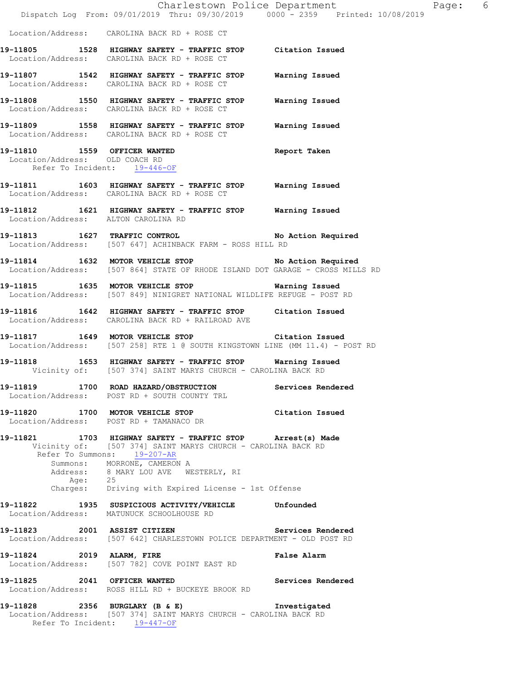|                                     | Charlestown Police Department<br>Dispatch Log From: 09/01/2019 Thru: 09/30/2019 0000 - 2359 Printed: 10/08/2019                                                                                                                                                                                    |                   |
|-------------------------------------|----------------------------------------------------------------------------------------------------------------------------------------------------------------------------------------------------------------------------------------------------------------------------------------------------|-------------------|
|                                     | Location/Address: CAROLINA BACK RD + ROSE CT                                                                                                                                                                                                                                                       |                   |
|                                     | 19-11805 1528 HIGHWAY SAFETY - TRAFFIC STOP Citation Issued<br>Location/Address: CAROLINA BACK RD + ROSE CT                                                                                                                                                                                        |                   |
|                                     | 19-11807 1542 HIGHWAY SAFETY - TRAFFIC STOP Warning Issued<br>Location/Address: CAROLINA BACK RD + ROSE CT                                                                                                                                                                                         |                   |
|                                     | 19-11808 1550 HIGHWAY SAFETY - TRAFFIC STOP Warning Issued<br>Location/Address: CAROLINA BACK RD + ROSE CT                                                                                                                                                                                         |                   |
|                                     | 19-11809 1558 HIGHWAY SAFETY - TRAFFIC STOP Warning Issued<br>Location/Address: CAROLINA BACK RD + ROSE CT                                                                                                                                                                                         |                   |
| Location/Address: OLD COACH RD      | 19-11810 1559 OFFICER WANTED Report Taken<br>Location/Address: OLD COACH RD<br>Refer To Incident: 19-446-OF                                                                                                                                                                                        |                   |
|                                     | 19-11811 1603 HIGHWAY SAFETY - TRAFFIC STOP Warning Issued<br>Location/Address: CAROLINA BACK RD + ROSE CT                                                                                                                                                                                         |                   |
| Location/Address: ALTON CAROLINA RD | 19-11812 1621 HIGHWAY SAFETY - TRAFFIC STOP Warning Issued                                                                                                                                                                                                                                         |                   |
|                                     | 19-11813 1627 TRAFFIC CONTROL No Action Required<br>Location/Address: [507 647] ACHINBACK FARM - ROSS HILL RD                                                                                                                                                                                      |                   |
|                                     | 19-11814 1632 MOTOR VEHICLE STOP No Action Required<br>Location/Address: [507 864] STATE OF RHODE ISLAND DOT GARAGE - CROSS MILLS RD                                                                                                                                                               |                   |
|                                     | 19-11815 1635 MOTOR VEHICLE STOP Warning Issued<br>Location/Address: [507 849] NINIGRET NATIONAL WILDLIFE REFUGE - POST RD                                                                                                                                                                         |                   |
|                                     | 19-11816 1642 HIGHWAY SAFETY - TRAFFIC STOP Citation Issued<br>Location/Address: CAROLINA BACK RD + RAILROAD AVE                                                                                                                                                                                   |                   |
|                                     | 19-11817 1649 MOTOR VEHICLE STOP Citation Issued<br>Location/Address: [507 258] RTE 1 @ SOUTH KINGSTOWN LINE (MM 11.4) - POST RD                                                                                                                                                                   |                   |
|                                     | 19-11818 1653 HIGHWAY SAFETY - TRAFFIC STOP Warning Issued<br>Vicinity of: [507 374] SAINT MARYS CHURCH - CAROLINA BACK RD                                                                                                                                                                         |                   |
|                                     | 19-11819 1700 ROAD HAZARD/OBSTRUCTION<br>Location/Address: POST RD + SOUTH COUNTY TRL                                                                                                                                                                                                              | Services Rendered |
|                                     | 19-11820 1700 MOTOR VEHICLE STOP<br>Location/Address: POST RD + TAMANACO DR                                                                                                                                                                                                                        | Citation Issued   |
|                                     | 19-11821 1703 HIGHWAY SAFETY - TRAFFIC STOP Arrest(s) Made<br>Vicinity of: [507 374] SAINT MARYS CHURCH - CAROLINA BACK RD<br>Refer To Summons: 19-207-AR<br>Summons: MORRONE, CAMERON A<br>Address: 8 MARY LOU AVE WESTERLY, RI<br>Age: 25<br>Charges: Driving with Expired License - 1st Offense |                   |
| 19-11822                            | 1935 SUSPICIOUS ACTIVITY/VEHICLE Unfounded<br>Location/Address: MATUNUCK SCHOOLHOUSE RD                                                                                                                                                                                                            |                   |
|                                     | 19-11823 2001 ASSIST CITIZEN<br>Location/Address: [507 642] CHARLESTOWN POLICE DEPARTMENT - OLD POST RD                                                                                                                                                                                            | Services Rendered |
| 19-11824 2019 ALARM, FIRE           | Location/Address: [507 782] COVE POINT EAST RD                                                                                                                                                                                                                                                     | False Alarm       |
| 19-11825 2041 OFFICER WANTED        | Location/Address: ROSS HILL RD + BUCKEYE BROOK RD                                                                                                                                                                                                                                                  | Services Rendered |
| 19-11828 2356 BURGLARY (B & E)      | Location/Address: [507 374] SAINT MARYS CHURCH - CAROLINA BACK RD<br>Refer To Incident: 19-447-OF                                                                                                                                                                                                  | Investigated      |

Page: 6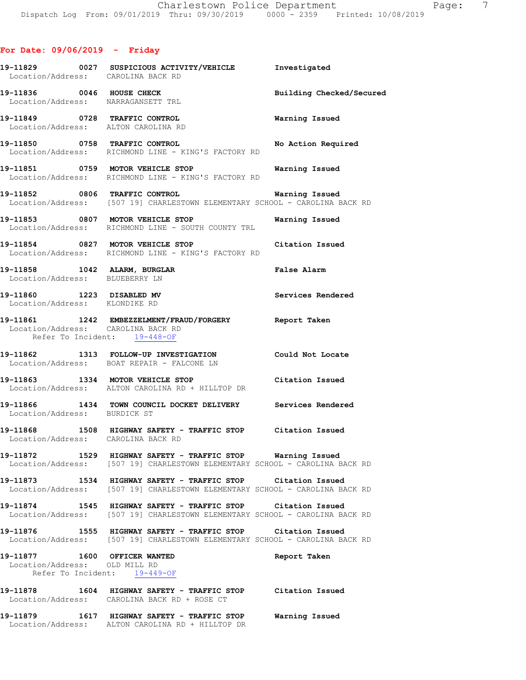# **For Date: 09/06/2019 - Friday**

| Location/Address: CAROLINA BACK RD                            |                                                                                                                                                                           |                          |
|---------------------------------------------------------------|---------------------------------------------------------------------------------------------------------------------------------------------------------------------------|--------------------------|
|                                                               | 19-11836 0046 HOUSE CHECK<br>Location/Address: NARRAGANSETT TRL                                                                                                           | Building Checked/Secured |
|                                                               | 19-11849 0728 TRAFFIC CONTROL<br>Location/Address: ALTON CAROLINA RD                                                                                                      | <b>Warning Issued</b>    |
|                                                               | 19-11850 0758 TRAFFIC CONTROL<br>Location/Address: RICHMOND LINE - KING'S FACTORY RD                                                                                      | No Action Required       |
|                                                               | 19-11851 0759 MOTOR VEHICLE STOP Warning Issued<br>Location/Address: RICHMOND LINE - KING'S FACTORY RD                                                                    |                          |
|                                                               | 19-11852 0806 TRAFFIC CONTROL 19-11852 Warning Issued<br>Location/Address: [507 19] CHARLESTOWN ELEMENTARY SCHOOL - CAROLINA BACK RD                                      |                          |
|                                                               | 19-11853 0807 MOTOR VEHICLE STOP<br>Location/Address: RICHMOND LINE - SOUTH COUNTY TRL                                                                                    | Warning Issued           |
|                                                               | 19-11854 0827 MOTOR VEHICLE STOP Citation Issued<br>Location/Address: RICHMOND LINE - KING'S FACTORY RD                                                                   |                          |
| Location/Address: BLUEBERRY LN                                | 19-11858 1042 ALARM, BURGLAR                                                                                                                                              | <b>False Alarm</b>       |
| 19-11860 1223 DISABLED MV<br>Location/Address: KLONDIKE RD    |                                                                                                                                                                           | Services Rendered        |
| Location/Address: CAROLINA BACK RD                            | 19-11861 1242 EMBEZZELMENT/FRAUD/FORGERY Report Taken<br>Refer To Incident: 19-448-OF                                                                                     |                          |
|                                                               | 19-11862 1313 FOLLOW-UP INVESTIGATION Could Not Locate<br>Location/Address: BOAT REPAIR - FALCONE LN                                                                      |                          |
|                                                               | 19-11863 1334 MOTOR VEHICLE STOP Citation Issued<br>Location/Address: ALTON CAROLINA RD + HILLTOP DR                                                                      |                          |
|                                                               | 19-11866   1434   TOWN COUNCIL DOCKET DELIVERY   Services Rendered Location/Address: BURDICK ST                                                                           |                          |
|                                                               | 19-11868 1508 HIGHWAY SAFETY - TRAFFIC STOP Citation Issued<br>Location/Address: CAROLINA BACK RD                                                                         |                          |
|                                                               | <br> 19-11872                1529    HIGHWAY SAFETY - TRAFFIC STOP          Warning Issued<br>Location/Address: [507 19] CHARLESTOWN ELEMENTARY SCHOOL - CAROLINA BACK RD |                          |
|                                                               | 19-11873 1534 HIGHWAY SAFETY - TRAFFIC STOP Citation Issued<br>Location/Address: [507 19] CHARLESTOWN ELEMENTARY SCHOOL - CAROLINA BACK RD                                |                          |
|                                                               | 19-11874 1545 HIGHWAY SAFETY - TRAFFIC STOP Citation Issued<br>Location/Address: [507 19] CHARLESTOWN ELEMENTARY SCHOOL - CAROLINA BACK RD                                |                          |
|                                                               | 19-11876 1555 HIGHWAY SAFETY - TRAFFIC STOP Citation Issued<br>Location/Address: [507 19] CHARLESTOWN ELEMENTARY SCHOOL - CAROLINA BACK RD                                |                          |
| 19-11877 1600 OFFICER WANTED<br>Location/Address: OLD MILL RD | Refer To Incident: 19-449-OF                                                                                                                                              | Report Taken             |
|                                                               | 19-11878 1604 HIGHWAY SAFETY - TRAFFIC STOP Citation Issued<br>Location/Address: CAROLINA BACK RD + ROSE CT                                                               |                          |
|                                                               | 19-11879   1617   HIGHWAY SAFETY - TRAFFIC STOP<br>Location/Address: ALTON CAROLINA RD + HILLTOP DR                                                                       | Warning Issued           |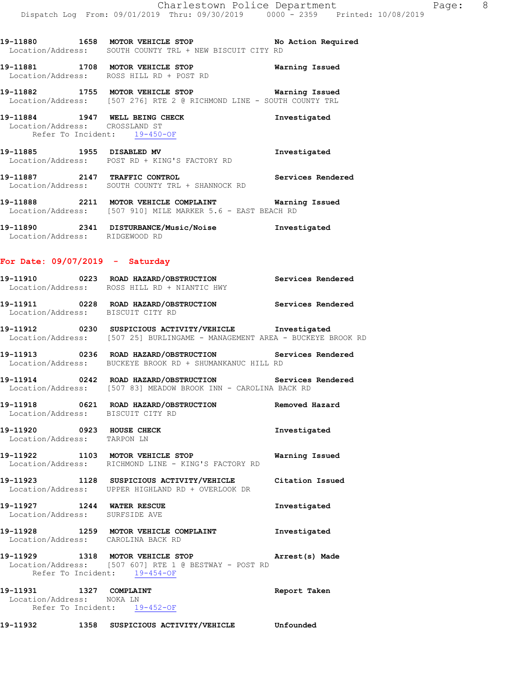**19-11881 1708 MOTOR VEHICLE STOP Warning Issued**  Location/Address: ROSS HILL RD + POST RD

**19-11882 1755 MOTOR VEHICLE STOP Warning Issued**  Location/Address: [507 276] RTE 2 @ RICHMOND LINE - SOUTH COUNTY TRL

**19-11884 1947 WELL BEING CHECK Investigated**  Location/Address: CROSSLAND ST Refer To Incident: 19-450-OF

**19-11885 1955 DISABLED MV Investigated**  Location/Address: POST RD + KING'S FACTORY RD

**19-11887 2147 TRAFFIC CONTROL Services Rendered**  Location/Address: SOUTH COUNTY TRL + SHANNOCK RD

**19-11888 2211 MOTOR VEHICLE COMPLAINT Warning Issued**  Location/Address: [507 910] MILE MARKER 5.6 - EAST BEACH RD

**19-11890 2341 DISTURBANCE/Music/Noise Investigated**  Location/Address: RIDGEWOOD RD

## **For Date: 09/07/2019 - Saturday**

**19-11910 0223 ROAD HAZARD/OBSTRUCTION Services Rendered**  Location/Address: ROSS HILL RD + NIANTIC HWY

**19-11911 0228 ROAD HAZARD/OBSTRUCTION Services Rendered**  Location/Address: BISCUIT CITY RD

**19-11912 0230 SUSPICIOUS ACTIVITY/VEHICLE Investigated**  Location/Address: [507 25] BURLINGAME - MANAGEMENT AREA - BUCKEYE BROOK RD

**19-11913 0236 ROAD HAZARD/OBSTRUCTION Services Rendered**  Location/Address: BUCKEYE BROOK RD + SHUMANKANUC HILL RD

**19-11914 0242 ROAD HAZARD/OBSTRUCTION Services Rendered**  Location/Address: [507 83] MEADOW BROOK INN - CAROLINA BACK RD

**19-11918 0621 ROAD HAZARD/OBSTRUCTION Removed Hazard**  Location/Address: BISCUIT CITY RD

**19-11920 0923 HOUSE CHECK Investigated**  Location/Address: TARPON LN

**19-11922 1103 MOTOR VEHICLE STOP Warning Issued**  Location/Address: RICHMOND LINE - KING'S FACTORY RD

**19-11923 1128 SUSPICIOUS ACTIVITY/VEHICLE Citation Issued**  Location/Address: UPPER HIGHLAND RD + OVERLOOK DR

**19-11927 1244 WATER RESCUE Investigated**  Location/Address: SURFSIDE AVE

**19-11928 1259 MOTOR VEHICLE COMPLAINT Investigated**  Location/Address: CAROLINA BACK RD

**19-11929 1318 MOTOR VEHICLE STOP Arrest(s) Made**  Location/Address: [507 607] RTE 1 @ BESTWAY - POST RD Refer To Incident: 19-454-OF

**19-11931 1327 COMPLAINT Report Taken**  Location/Address: NOKA LN Refer To Incident: 19-452-OF

**19-11932 1358 SUSPICIOUS ACTIVITY/VEHICLE Unfounded**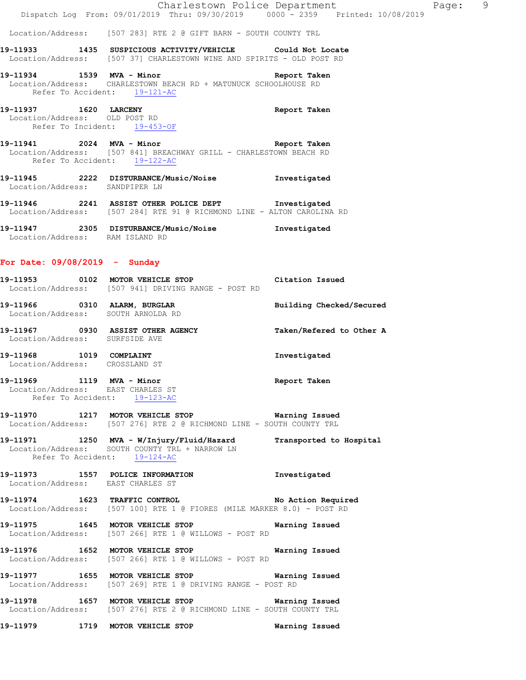Location/Address: [507 283] RTE 2 @ GIFT BARN - SOUTH COUNTY TRL

**19-11933 1435 SUSPICIOUS ACTIVITY/VEHICLE Could Not Locate**  Location/Address: [507 37] CHARLESTOWN WINE AND SPIRITS - OLD POST RD

**19-11934 1539 MVA - Minor Report Taken**  Location/Address: CHARLESTOWN BEACH RD + MATUNUCK SCHOOLHOUSE RD Refer To Accident: 19-121-AC

**19-11937 1620 LARCENY Report Taken**  Location/Address: OLD POST RD Refer To Incident: 19-453-OF

**19-11941 2024 MVA - Minor Report Taken**  Location/Address: [507 841] BREACHWAY GRILL - CHARLESTOWN BEACH RD Refer To Accident: 19-122-AC

**19-11945 2222 DISTURBANCE/Music/Noise Investigated**  Location/Address: SANDPIPER LN

**19-11946 2241 ASSIST OTHER POLICE DEPT Investigated**  Location/Address: [507 284] RTE 91 @ RICHMOND LINE - ALTON CAROLINA RD

**19-11947 2305 DISTURBANCE/Music/Noise Investigated**  Location/Address: RAM ISLAND RD

#### **For Date: 09/08/2019 - Sunday**

| 19–11953          | 0102 | MOTOR VEHICLE STOP                | Citation Issued |
|-------------------|------|-----------------------------------|-----------------|
| Location/Address: |      | [507 941] DRIVING RANGE - POST RD |                 |

**19-11966 0310 ALARM, BURGLAR Building Checked/Secured**  Location/Address: SOUTH ARNOLDA RD

**19-11967 0930 ASSIST OTHER AGENCY Taken/Refered to Other A**  Location/Address: SURFSIDE AVE

**19-11968 1019 COMPLAINT Investigated**  Location/Address: CROSSLAND ST

**19-11969 1119 MVA - Minor Report Taken**  Location/Address: EAST CHARLES ST Refer To Accident: 19-123-AC

# **19-11970 1217 MOTOR VEHICLE STOP Warning Issued**  Location/Address: [507 276] RTE 2 @ RICHMOND LINE - SOUTH COUNTY TRL

**19-11971 1250 MVA - W/Injury/Fluid/Hazard Transported to Hospital**  Location/Address: SOUTH COUNTY TRL + NARROW LN Refer To Accident: 19-124-AC

**19-11973 1557 POLICE INFORMATION Investigated**  Location/Address: EAST CHARLES ST

**19-11974 1623 TRAFFIC CONTROL No Action Required**  Location/Address: [507 100] RTE 1 @ FIORES (MILE MARKER 8.0) - POST RD

**19-11975 1645 MOTOR VEHICLE STOP Warning Issued**  Location/Address: [507 266] RTE 1 @ WILLOWS - POST RD

**19-11976 1652 MOTOR VEHICLE STOP Warning Issued**  Location/Address: [507 266] RTE 1 @ WILLOWS - POST RD

**19-11977 1655 MOTOR VEHICLE STOP Warning Issued**  Location/Address: [507 269] RTE 1 @ DRIVING RANGE - POST RD

**19-11978 1657 MOTOR VEHICLE STOP Warning Issued**  Location/Address: [507 276] RTE 2 @ RICHMOND LINE - SOUTH COUNTY TRL

**19-11979 1719 MOTOR VEHICLE STOP Warning Issued**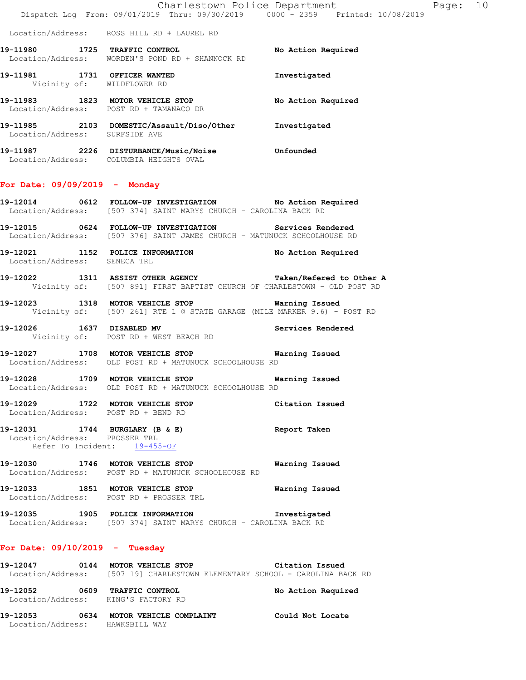Location/Address: ROSS HILL RD + LAUREL RD

19-11980 **1725 TRAFFIC CONTROL 19** No Action Required Location/Address: WORDEN'S POND RD + SHANNOCK RD **19-11981 1731 OFFICER WANTED Investigated**  Vicinity of: WILDFLOWER RD **19-11983 1823 MOTOR VEHICLE STOP No Action Required**  Location/Address: POST RD + TAMANACO DR **19-11985 2103 DOMESTIC/Assault/Diso/Other Investigated**  Location/Address: SURFSIDE AVE **19-11987 2226 DISTURBANCE/Music/Noise Unfounded** 

Location/Address: COLUMBIA HEIGHTS OVAL

## **For Date: 09/09/2019 - Monday**

- **19-12014 0612 FOLLOW-UP INVESTIGATION No Action Required**  Location/Address: [507 374] SAINT MARYS CHURCH - CAROLINA BACK RD
- **19-12015 0624 FOLLOW-UP INVESTIGATION Services Rendered**  Location/Address: [507 376] SAINT JAMES CHURCH - MATUNUCK SCHOOLHOUSE RD
- **19-12021 1152 POLICE INFORMATION No Action Required**  Location/Address: SENECA TRL
- **19-12022 1311 ASSIST OTHER AGENCY Taken/Refered to Other A**  Vicinity of: [507 891] FIRST BAPTIST CHURCH OF CHARLESTOWN - OLD POST RD
- **19-12023 1318 MOTOR VEHICLE STOP Warning Issued**  Vicinity of: [507 261] RTE 1 @ STATE GARAGE (MILE MARKER 9.6) - POST RD
- **19-12026 1637 DISABLED MV Services Rendered**  Vicinity of: POST RD + WEST BEACH RD
- **19-12027 1708 MOTOR VEHICLE STOP Warning Issued**  Location/Address: OLD POST RD + MATUNUCK SCHOOLHOUSE RD
- **19-12028 1709 MOTOR VEHICLE STOP Warning Issued**  Location/Address: OLD POST RD + MATUNUCK SCHOOLHOUSE RD
- **19-12029 1722 MOTOR VEHICLE STOP Citation Issued**  Location/Address: POST RD + BEND RD

# **19-12031 1744 BURGLARY (B & E) Report Taken**  Location/Address: PROSSER TRL Refer To Incident: 19-455-OF

- **19-12030 1746 MOTOR VEHICLE STOP Warning Issued**  Location/Address: POST RD + MATUNUCK SCHOOLHOUSE RD
- **19-12033 1851 MOTOR VEHICLE STOP Warning Issued**  Location/Address: POST RD + PROSSER TRL
- **19-12035 1905 POLICE INFORMATION Investigated**  Location/Address: [507 374] SAINT MARYS CHURCH - CAROLINA BACK RD

#### **For Date: 09/10/2019 - Tuesday**

- **19-12047 0144 MOTOR VEHICLE STOP Citation Issued**  Location/Address: [507 19] CHARLESTOWN ELEMENTARY SCHOOL - CAROLINA BACK RD **19-12052 0609 TRAFFIC CONTROL No Action Required**  Location/Address: KING'S FACTORY RD
- **19-12053 0634 MOTOR VEHICLE COMPLAINT Could Not Locate**  Location/Address: HAWKSBILL WAY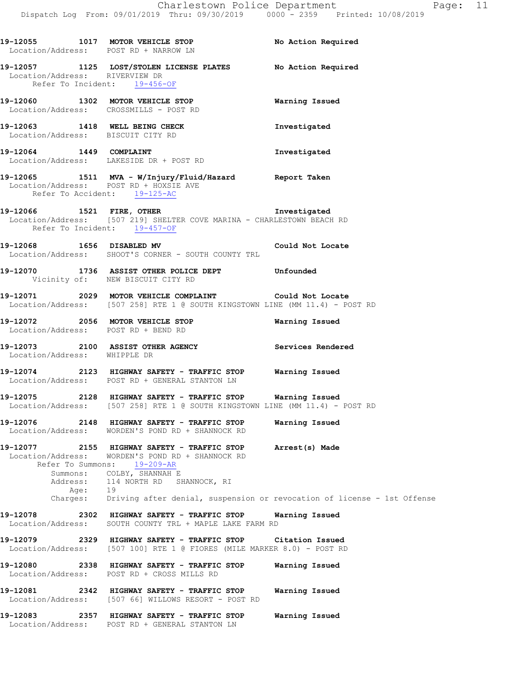|                                |      | 19-12055 1017 MOTOR VEHICLE STOP No Action Required<br>Location/Address: POST RD + NARROW LN                                                                                                            |                                                                                                    |
|--------------------------------|------|---------------------------------------------------------------------------------------------------------------------------------------------------------------------------------------------------------|----------------------------------------------------------------------------------------------------|
| Location/Address: RIVERVIEW DR |      | 19-12057 1125 LOST/STOLEN LICENSE PLATES No Action Required<br>Refer To Incident: 19-456-OF                                                                                                             |                                                                                                    |
|                                |      | 19-12060 1302 MOTOR VEHICLE STOP 6 Warning Issued<br>Location/Address: CROSSMILLS - POST RD                                                                                                             |                                                                                                    |
|                                |      | 19-12063 1418 WELL BEING CHECK<br>Location/Address: BISCUIT CITY RD                                                                                                                                     | Investigated                                                                                       |
|                                |      | 19-12064 1449 COMPLAINT<br>Location/Address: LAKESIDE DR + POST RD                                                                                                                                      | Investigated                                                                                       |
|                                |      | 19-12065 1511 MVA - W/Injury/Fluid/Hazard Report Taken<br>Location/Address: POST RD + HOXSIE AVE<br>Refer To Accident: $19-125-AC$                                                                      |                                                                                                    |
|                                |      | 19-12066 1521 FIRE, OTHER 19-12066<br>Location/Address: [507 219] SHELTER COVE MARINA - CHARLESTOWN BEACH RD<br>Refer To Incident: 19-457-OF                                                            |                                                                                                    |
|                                |      | 19-12068 1656 DISABLED MV Could Not Locate<br>Location/Address: SHOOT'S CORNER - SOUTH COUNTY TRL                                                                                                       |                                                                                                    |
|                                |      | 19-12070 1736 ASSIST OTHER POLICE DEPT Unfounded<br>Vicinity of: NEW BISCUIT CITY RD                                                                                                                    |                                                                                                    |
|                                |      | 19-12071 2029 MOTOR VEHICLE COMPLAINT Could Not Locate<br>Location/Address: [507 258] RTE 1 @ SOUTH KINGSTOWN LINE (MM 11.4) - POST RD                                                                  |                                                                                                    |
|                                |      | 19-12072 2056 MOTOR VEHICLE STOP<br>Location/Address: POST RD + BEND RD                                                                                                                                 | Warning Issued                                                                                     |
| Location/Address: WHIPPLE DR   |      | 19-12073 2100 ASSIST OTHER AGENCY Services Rendered                                                                                                                                                     |                                                                                                    |
|                                |      | 19-12074 2123 HIGHWAY SAFETY - TRAFFIC STOP Warning Issued<br>Location/Address: POST RD + GENERAL STANTON LN                                                                                            |                                                                                                    |
|                                |      | 19-12075 2128 HIGHWAY SAFETY - TRAFFIC STOP Warning Issued<br>Location/Address: [507 258] RTE 1 @ SOUTH KINGSTOWN LINE (MM 11.4) - POST RD                                                              |                                                                                                    |
| 19-12076                       |      | 2148 HIGHWAY SAFETY - TRAFFIC STOP<br>Location/Address: WORDEN'S POND RD + SHANNOCK RD                                                                                                                  | Warning Issued                                                                                     |
|                                | Age: | 19-12077 2155 HIGHWAY SAFETY - TRAFFIC STOP<br>Location/Address: WORDEN'S POND RD + SHANNOCK RD<br>Refer To Summons: 19-209-AR<br>Summons: COLBY, SHANNAH E<br>Address: 114 NORTH RD SHANNOCK, RI<br>19 | Arrest(s) Made<br>Charges: Driving after denial, suspension or revocation of license - 1st Offense |
|                                |      | 19-12078 2302 HIGHWAY SAFETY - TRAFFIC STOP Warning Issued<br>Location/Address: SOUTH COUNTY TRL + MAPLE LAKE FARM RD                                                                                   |                                                                                                    |
|                                |      | 19-12079 		 2329 HIGHWAY SAFETY - TRAFFIC STOP Citation Issued<br>Location/Address: [507 100] RTE 1 @ FIORES (MILE MARKER 8.0) - POST RD                                                                |                                                                                                    |
|                                |      | 19-12080 2338 HIGHWAY SAFETY - TRAFFIC STOP<br>Location/Address: POST RD + CROSS MILLS RD                                                                                                               | Warning Issued                                                                                     |
| 19-12081                       |      | 2342 HIGHWAY SAFETY - TRAFFIC STOP<br>Location/Address: [507 66] WILLOWS RESORT - POST RD                                                                                                               | Warning Issued                                                                                     |
|                                |      | 19-12083 2357 HIGHWAY SAFETY - TRAFFIC STOP<br>Location/Address: POST RD + GENERAL STANTON LN                                                                                                           | Warning Issued                                                                                     |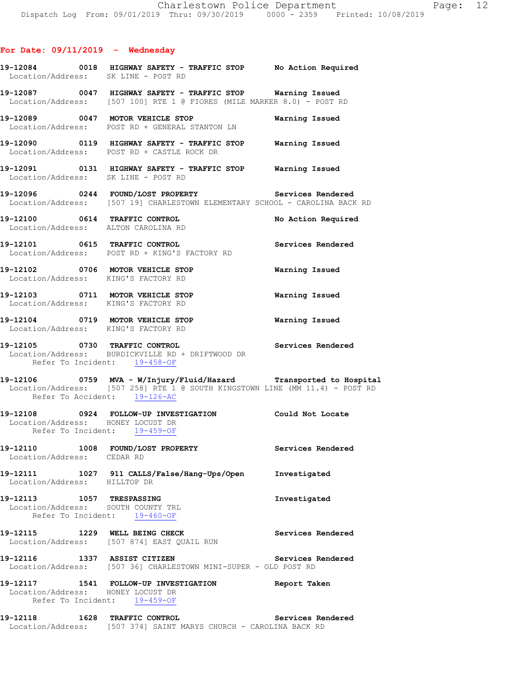|                                   | 19-12084 0018 HIGHWAY SAFETY - TRAFFIC STOP No Action Required<br>Location/Address: SK LINE - POST RD                                                                             |                    |
|-----------------------------------|-----------------------------------------------------------------------------------------------------------------------------------------------------------------------------------|--------------------|
|                                   | Location/Address: [507 100] RTE 1 @ FIORES (MILE MARKER 8.0) - POST RD                                                                                                            |                    |
|                                   | 19-12089 0047 MOTOR VEHICLE STOP 6 Warning Issued<br>Location/Address: POST RD + GENERAL STANTON LN                                                                               |                    |
|                                   | 19-12090 0119 HIGHWAY SAFETY - TRAFFIC STOP Warning Issued<br>Location/Address: POST RD + CASTLE ROCK DR                                                                          |                    |
|                                   | 19-12091 0131 HIGHWAY SAFETY - TRAFFIC STOP Warning Issued<br>Location/Address: SK LINE - POST RD                                                                                 |                    |
|                                   | 19-12096 0244 FOUND/LOST PROPERTY Services Rendered<br>Location/Address: [507 19] CHARLESTOWN ELEMENTARY SCHOOL - CAROLINA BACK RD                                                |                    |
|                                   | 19-12100 0614 TRAFFIC CONTROL<br>Location/Address: ALTON CAROLINA RD                                                                                                              | No Action Required |
|                                   | 19-12101 0615 TRAFFIC CONTROL Services Rendered<br>Location/Address: POST RD + KING'S FACTORY RD                                                                                  |                    |
|                                   | 19-12102 0706 MOTOR VEHICLE STOP 6 Warning Issued<br>Location/Address: KING'S FACTORY RD                                                                                          |                    |
|                                   | 19-12103 0711 MOTOR VEHICLE STOP 6 Warning Issued<br>Location/Address: KING'S FACTORY RD                                                                                          |                    |
|                                   | 19-12104 0719 MOTOR VEHICLE STOP <b>Warning Issued</b><br>Location/Address: KING'S FACTORY RD                                                                                     |                    |
|                                   | 19-12105 0730 TRAFFIC CONTROL CONTROL Services Rendered<br>Location/Address: BURDICKVILLE RD + DRIFTWOOD DR<br>Refer To Incident: 19-458-OF                                       |                    |
|                                   | 19-12106 0759 MVA - W/Injury/Fluid/Hazard Transported to Hospital<br>Location/Address: [507 258] RTE 1 @ SOUTH KINGSTOWN LINE (MM 11.4) - POST RD<br>Refer To Accident: 19-126-AC |                    |
| Location/Address: HONEY LOCUST DR | 19-12108 0924 FOLLOW-UP INVESTIGATION Could Not Locate                                                                                                                            |                    |
|                                   |                                                                                                                                                                                   |                    |
| Location/Address: CEDAR RD        | Refer To Incident: 19-459-OF<br>19-12110 1008 FOUND/LOST PROPERTY                                                                                                                 | Services Rendered  |
| Location/Address: HILLTOP DR      | 19-12111 1027 911 CALLS/False/Hang-Ups/Open                                                                                                                                       | Investigated       |
| 19-12113 1057 TRESPASSING         | Location/Address: SOUTH COUNTY TRL<br>Refer To Incident: 19-460-OF                                                                                                                | Investigated       |
|                                   | 19-12115 1229 WELL BEING CHECK<br>Location/Address: [507 874] EAST QUAIL RUN                                                                                                      | Services Rendered  |
|                                   | 19-12116 1337 ASSIST CITIZEN<br>Location/Address: [507 36] CHARLESTOWN MINI-SUPER - OLD POST RD                                                                                   | Services Rendered  |
|                                   | 19-12117 1541 FOLLOW-UP INVESTIGATION<br>Location/Address: HONEY LOCUST DR<br>Refer To Incident: 19-459-OF                                                                        | Report Taken       |

Location/Address: [507 374] SAINT MARYS CHURCH - CAROLINA BACK RD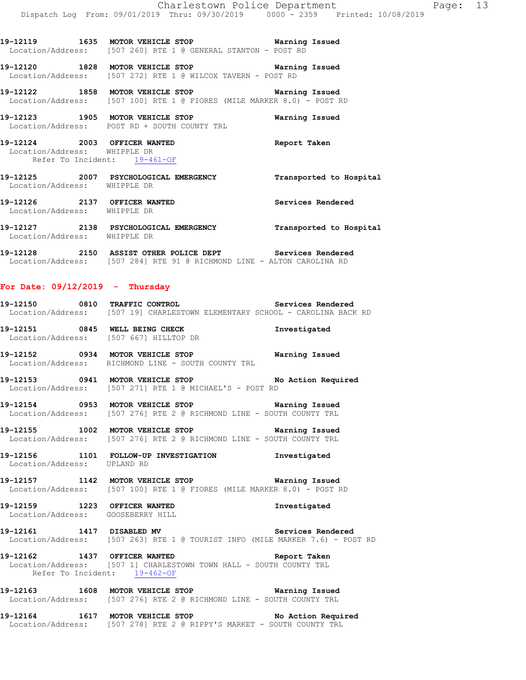**19-12119 1635 MOTOR VEHICLE STOP Warning Issued**  Location/Address: [507 260] RTE 1 @ GENERAL STANTON - POST RD

**19-12120 1828 MOTOR VEHICLE STOP Warning Issued**  Location/Address: [507 272] RTE 1 @ WILCOX TAVERN - POST RD

**19-12122 1858 MOTOR VEHICLE STOP Warning Issued**  Location/Address: [507 100] RTE 1 @ FIORES (MILE MARKER 8.0) - POST RD

**19-12123 1905 MOTOR VEHICLE STOP Warning Issued**  Location/Address: POST RD + SOUTH COUNTY TRL

**19-12124 2003 OFFICER WANTED Report Taken**  Location/Address: WHIPPLE DR Refer To Incident: 19-461-OF

**19-12125 2007 PSYCHOLOGICAL EMERGENCY Transported to Hospital**  Location/Address: WHIPPLE DR **19-12126 2137 OFFICER WANTED Services Rendered** 

 Location/Address: WHIPPLE DR **19-12127 2138 PSYCHOLOGICAL EMERGENCY Transported to Hospital**  Location/Address: WHIPPLE DR

**19-12128 2150 ASSIST OTHER POLICE DEPT Services Rendered**  Location/Address: [507 284] RTE 91 @ RICHMOND LINE - ALTON CAROLINA RD

#### **For Date: 09/12/2019 - Thursday**

| 19–12150          |  | 0810 TRAFFIC CONTROL                                      |  | Services Rendered |  |
|-------------------|--|-----------------------------------------------------------|--|-------------------|--|
| Location/Address: |  | [507 19] CHARLESTOWN ELEMENTARY SCHOOL - CAROLINA BACK RD |  |                   |  |

**19-12151 0845 WELL BEING CHECK Investigated**  Location/Address: [507 667] HILLTOP DR

**19-12152 0934 MOTOR VEHICLE STOP Warning Issued**  Location/Address: RICHMOND LINE - SOUTH COUNTY TRL

**19-12153 0941 MOTOR VEHICLE STOP No Action Required**  Location/Address: [507 271] RTE 1 @ MICHAEL'S - POST RD

**19-12154 0953 MOTOR VEHICLE STOP Warning Issued**  Location/Address: [507 276] RTE 2 @ RICHMOND LINE - SOUTH COUNTY TRL

**19-12155 1002 MOTOR VEHICLE STOP Warning Issued**  Location/Address: [507 276] RTE 2 @ RICHMOND LINE - SOUTH COUNTY TRL

**19-12156 1101 FOLLOW-UP INVESTIGATION Investigated**  Location/Address: UPLAND RD

**19-12157 1142 MOTOR VEHICLE STOP Warning Issued**  Location/Address: [507 100] RTE 1 @ FIORES (MILE MARKER 8.0) - POST RD

**19-12159 1223 OFFICER WANTED Investigated**  Location/Address: GOOSEBERRY HILL

**19-12161 1417 DISABLED MV Services Rendered**  Location/Address: [507 263] RTE 1 @ TOURIST INFO (MILE MARKER 7.6) - POST RD

**19-12162 1437 OFFICER WANTED Report Taken**  Location/Address: [507 1] CHARLESTOWN TOWN HALL - SOUTH COUNTY TRL Refer To Incident: 19-462-OF

**19-12163 1608 MOTOR VEHICLE STOP Warning Issued**  Location/Address: [507 276] RTE 2 @ RICHMOND LINE - SOUTH COUNTY TRL

**19-12164 1617 MOTOR VEHICLE STOP No Action Required**  Location/Address: [507 278] RTE 2 @ RIPPY'S MARKET - SOUTH COUNTY TRL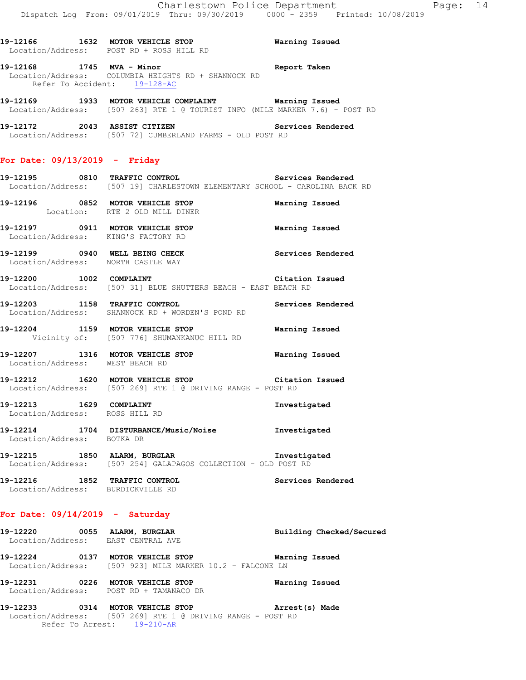**19-12166 1632 MOTOR VEHICLE STOP Warning Issued**  Location/Address: POST RD + ROSS HILL RD **19-12168 1745 MVA - Minor Report Taken**  Location/Address: COLUMBIA HEIGHTS RD + SHANNOCK RD

**19-12169 1933 MOTOR VEHICLE COMPLAINT Warning Issued**  Location/Address: [507 263] RTE 1 @ TOURIST INFO (MILE MARKER 7.6) - POST RD

**19-12172 2043 ASSIST CITIZEN Services Rendered**  Location/Address: [507 72] CUMBERLAND FARMS - OLD POST RD

### **For Date: 09/13/2019 - Friday**

Refer To Accident: 19-128-AC

**19-12195 0810 TRAFFIC CONTROL Services Rendered**  Location/Address: [507 19] CHARLESTOWN ELEMENTARY SCHOOL - CAROLINA BACK RD

**19-12196 0852 MOTOR VEHICLE STOP Warning Issued**  Location: RTE 2 OLD MILL DINER

**19-12197 0911 MOTOR VEHICLE STOP Warning Issued**  Location/Address: KING'S FACTORY RD

**19-12199 0940 WELL BEING CHECK Services Rendered**  Location/Address: NORTH CASTLE WAY

**19-12200 1002 COMPLAINT Citation Issued**  Location/Address: [507 31] BLUE SHUTTERS BEACH - EAST BEACH RD

**19-12203 1158 TRAFFIC CONTROL Services Rendered**  Location/Address: SHANNOCK RD + WORDEN'S POND RD

**19-12204 1159 MOTOR VEHICLE STOP Warning Issued**  Vicinity of: [507 776] SHUMANKANUC HILL RD

**19-12207 1316 MOTOR VEHICLE STOP Warning Issued**  Location/Address: WEST BEACH RD

**19-12212 1620 MOTOR VEHICLE STOP Citation Issued**  Location/Address: [507 269] RTE 1 @ DRIVING RANGE - POST RD

**19-12213 1629 COMPLAINT Investigated**  Location/Address: ROSS HILL RD

**19-12214 1704 DISTURBANCE/Music/Noise Investigated**  Location/Address: BOTKA DR

**19-12215 1850 ALARM, BURGLAR Investigated**  Location/Address: [507 254] GALAPAGOS COLLECTION - OLD POST RD

**19-12216 1852 TRAFFIC CONTROL Services Rendered**  Location/Address: BURDICKVILLE RD

# **For Date: 09/14/2019 - Saturday**

**19-12220 0055 ALARM, BURGLAR Building Checked/Secured**  Location/Address: EAST CENTRAL AVE **19-12224 0137 MOTOR VEHICLE STOP Warning Issued**  Location/Address: [507 923] MILE MARKER 10.2 - FALCONE LN **19-12231 0226 MOTOR VEHICLE STOP Warning Issued** 

Location/Address: POST RD + TAMANACO DR

**19-12233 0314 MOTOR VEHICLE STOP Arrest(s) Made**  Location/Address: [507 269] RTE 1 @ DRIVING RANGE - POST RD Refer To Arrest: 19-210-AR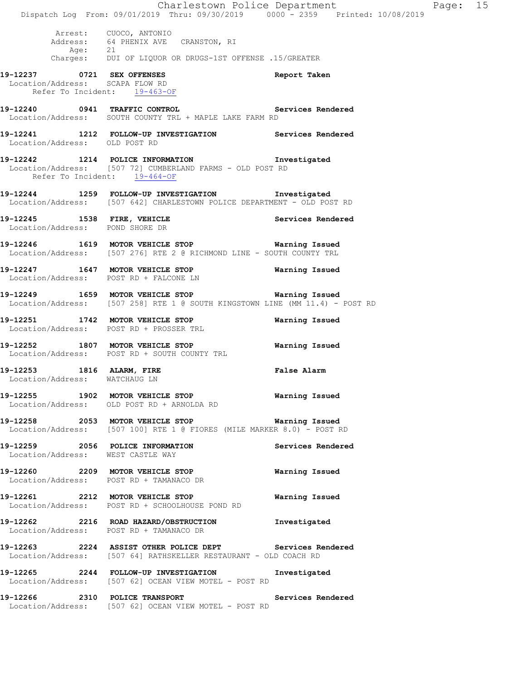|                                                                 | Dispatch Log From: 09/01/2019 Thru: 09/30/2019 0000 - 2359 Printed: 10/08/2019                                                      | Charlestown Police Department | Page: 15 |  |
|-----------------------------------------------------------------|-------------------------------------------------------------------------------------------------------------------------------------|-------------------------------|----------|--|
|                                                                 | Arrest: CUOCO, ANTONIO<br>Address: 64 PHENIX AVE CRANSTON, RI<br>Age: 21<br>Charges: DUI OF LIQUOR OR DRUGS-1ST OFFENSE .15/GREATER |                               |          |  |
| Location/Address: SCAPA FLOW RD<br>Refer To Incident: 19-463-OF | 19-12237 0721 SEX OFFENSES                                                                                                          | Report Taken                  |          |  |
|                                                                 | 19-12240 0941 TRAFFIC CONTROL<br>Location/Address: SOUTH COUNTY TRL + MAPLE LAKE FARM RD                                            | Services Rendered             |          |  |
| Location/Address: OLD POST RD                                   | 19-12241 1212 FOLLOW-UP INVESTIGATION Services Rendered                                                                             |                               |          |  |
| Refer To Incident: 19-464-OF                                    | 19-12242 1214 POLICE INFORMATION Investigated<br>Location/Address: [507 72] CUMBERLAND FARMS - OLD POST RD                          |                               |          |  |
|                                                                 | 19-12244 1259 FOLLOW-UP INVESTIGATION Investigated<br>Location/Address: [507 642] CHARLESTOWN POLICE DEPARTMENT - OLD POST RD       |                               |          |  |
| Location/Address: POND SHORE DR                                 | 19-12245 1538 FIRE, VEHICLE 1999 Services Rendered                                                                                  |                               |          |  |
|                                                                 | 19-12246 1619 MOTOR VEHICLE STOP <b>Warning Issued</b><br>Location/Address: [507 276] RTE 2 @ RICHMOND LINE - SOUTH COUNTY TRL      |                               |          |  |
|                                                                 | 19-12247   1647   MOTOR VEHICLE STOP   Warning Issued Location/Address:   POST RD + FALCONE LN                                      |                               |          |  |
|                                                                 | 19-12249 1659 MOTOR VEHICLE STOP <b>WATER WATER</b><br>Location/Address: [507 258] RTE 1 @ SOUTH KINGSTOWN LINE (MM 11.4) - POST RD |                               |          |  |
|                                                                 | 19-12251 1742 MOTOR VEHICLE STOP<br>Location/Address: POST RD + PROSSER TRL                                                         | Warning Issued                |          |  |
|                                                                 | 19-12252 1807 MOTOR VEHICLE STOP<br>Location/Address: POST RD + SOUTH COUNTY TRL                                                    | Warning Issued                |          |  |
| 19-12253 1816 ALARM, FIRE<br>Location/Address: WATCHAUG LN      |                                                                                                                                     | <b>False Alarm</b>            |          |  |
|                                                                 | 19-12255 1902 MOTOR VEHICLE STOP 6 Warning Issued<br>Location/Address: OLD POST RD + ARNOLDA RD                                     |                               |          |  |
|                                                                 | 19-12258 2053 MOTOR VEHICLE STOP <b>Warning Issued</b><br>Location/Address: [507 100] RTE 1 @ FIORES (MILE MARKER 8.0) - POST RD    |                               |          |  |
| Location/Address: WEST CASTLE WAY                               | 19-12259 2056 POLICE INFORMATION                                                                                                    | Services Rendered             |          |  |
|                                                                 | 19-12260 2209 MOTOR VEHICLE STOP<br>Location/Address: POST RD + TAMANACO DR                                                         | Warning Issued                |          |  |
|                                                                 | 19-12261 2212 MOTOR VEHICLE STOP<br>Location/Address: POST RD + SCHOOLHOUSE POND RD                                                 | Warning Issued                |          |  |
|                                                                 | 19-12262 2216 ROAD HAZARD/OBSTRUCTION Investigated<br>Location/Address: POST RD + TAMANACO DR                                       |                               |          |  |
|                                                                 | 19-12263 2224 ASSIST OTHER POLICE DEPT Services Rendered<br>Location/Address: [507 64] RATHSKELLER RESTAURANT - OLD COACH RD        |                               |          |  |
|                                                                 | 19-12265 2244 FOLLOW-UP INVESTIGATION Investigated<br>Location/Address: [507 62] OCEAN VIEW MOTEL - POST RD                         |                               |          |  |
|                                                                 | 19-12266 2310 POLICE TRANSPORT Services Rendered<br>Location/Address: [507 62] OCEAN VIEW MOTEL - POST RD                           |                               |          |  |
|                                                                 |                                                                                                                                     |                               |          |  |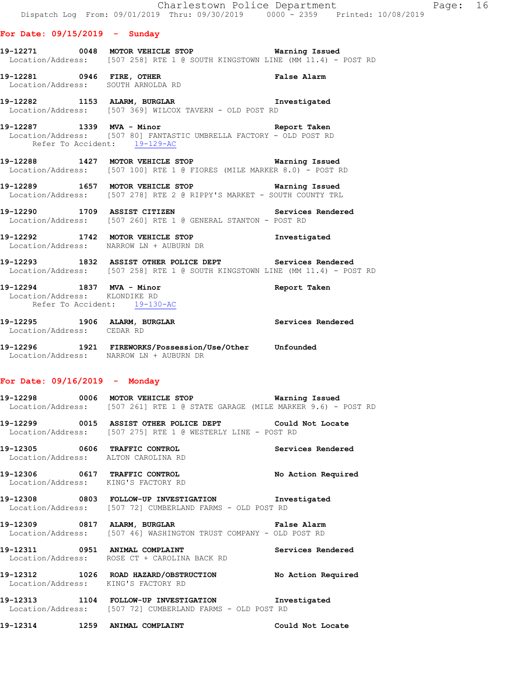#### **For Date: 09/15/2019 - Sunday**

**19-12271 0048 MOTOR VEHICLE STOP Warning Issued**  Location/Address: [507 258] RTE 1 @ SOUTH KINGSTOWN LINE (MM 11.4) - POST RD

**19-12281 0946 FIRE, OTHER False Alarm**  Location/Address: SOUTH ARNOLDA RD

**19-12282 1153 ALARM, BURGLAR Investigated**  Location/Address: [507 369] WILCOX TAVERN - OLD POST RD

**19-12287 1339 MVA - Minor Report Taken**  Location/Address: [507 80] FANTASTIC UMBRELLA FACTORY - OLD POST RD Refer To Accident: 19-129-AC

**19-12288 1427 MOTOR VEHICLE STOP Warning Issued**  Location/Address: [507 100] RTE 1 @ FIORES (MILE MARKER 8.0) - POST RD

**19-12289 1657 MOTOR VEHICLE STOP Warning Issued**  Location/Address: [507 278] RTE 2 @ RIPPY'S MARKET - SOUTH COUNTY TRL

**19-12290 1709 ASSIST CITIZEN Services Rendered**  Location/Address: [507 260] RTE 1 @ GENERAL STANTON - POST RD

**19-12292 1742 MOTOR VEHICLE STOP Investigated**  Location/Address: NARROW LN + AUBURN DR

**19-12293 1832 ASSIST OTHER POLICE DEPT Services Rendered**  Location/Address: [507 258] RTE 1 @ SOUTH KINGSTOWN LINE (MM 11.4) - POST RD

**19-12294 1837 MVA - Minor Report Taken**  Location/Address: KLONDIKE RD Refer To Accident: 19-130-AC

**19-12295 1906 ALARM, BURGLAR Services Rendered**  Location/Address: CEDAR RD

**19-12296 1921 FIREWORKS/Possession/Use/Other Unfounded**  Location/Address: NARROW LN + AUBURN DR

## **For Date: 09/16/2019 - Monday**

**19-12298 0006 MOTOR VEHICLE STOP Warning Issued**  Location/Address: [507 261] RTE 1 @ STATE GARAGE (MILE MARKER 9.6) - POST RD

**19-12299 0015 ASSIST OTHER POLICE DEPT Could Not Locate**  Location/Address: [507 275] RTE 1 @ WESTERLY LINE - POST RD

**19-12305 0606 TRAFFIC CONTROL Services Rendered**  Location/Address: ALTON CAROLINA RD

**19-12306 0617 TRAFFIC CONTROL No Action Required**  Location/Address: KING'S FACTORY RD

**19-12308 0803 FOLLOW-UP INVESTIGATION Investigated**  Location/Address: [507 72] CUMBERLAND FARMS - OLD POST RD

**19-12309 0817 ALARM, BURGLAR False Alarm**  Location/Address: [507 46] WASHINGTON TRUST COMPANY - OLD POST RD

19-12311 **19-12311** 0951 ANIMAL COMPLAINT Location/Address: ROSE CT + CAROLINA BACK RD

**19-12312 1026 ROAD HAZARD/OBSTRUCTION No Action Required**  Location/Address: KING'S FACTORY RD

**19-12313 1104 FOLLOW-UP INVESTIGATION Investigated**  Location/Address: [507 72] CUMBERLAND FARMS - OLD POST RD

**19-12314 1259 ANIMAL COMPLAINT Could Not Locate**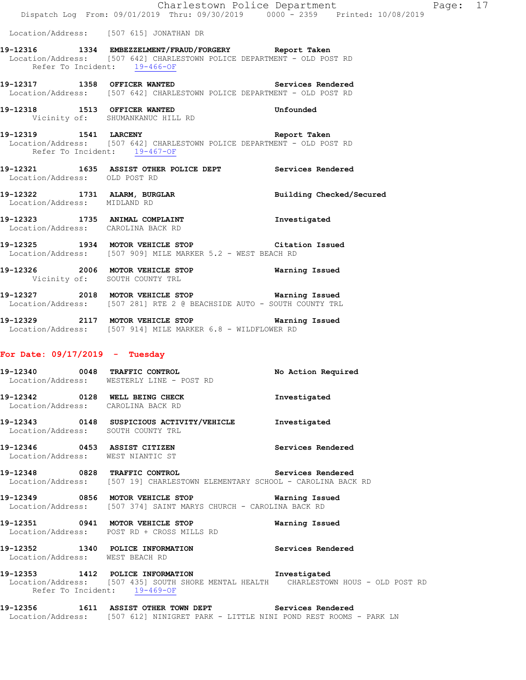|                                   |                                                                                                                                                                       | Charlestown Police Department | Page |
|-----------------------------------|-----------------------------------------------------------------------------------------------------------------------------------------------------------------------|-------------------------------|------|
|                                   | Dispatch Log From: 09/01/2019 Thru: 09/30/2019   0000 - 2359   Printed: 10/08/2019                                                                                    |                               |      |
|                                   | Location/Address: [507 615] JONATHAN DR                                                                                                                               |                               |      |
|                                   | 19-12316 1334 EMBEZZELMENT/FRAUD/FORGERY Report Taken<br>Location/Address: [507 642] CHARLESTOWN POLICE DEPARTMENT - OLD POST RD<br>Refer To Incident: 19-466-OF      |                               |      |
|                                   | 19-12317 1358 OFFICER WANTED Services Rendered<br>Location/Address: [507 642] CHARLESTOWN POLICE DEPARTMENT - OLD POST RD                                             |                               |      |
|                                   | 19-12318 1513 OFFICER WANTED Unfounded<br>Vicinity of: SHUMANKANUC HILL RD<br>Vicinity of: SHUMANKANUC HILL RD                                                        |                               |      |
| Refer To Incident: 19-467-OF      | 19-12319 1541 LARCENY<br>Location/Address: [507 642] CHARLESTOWN POLICE DEPARTMENT - OLD POST RD                                                                      | Report Taken                  |      |
| Location/Address: OLD POST RD     | 19-12321 1635 ASSIST OTHER POLICE DEPT Services Rendered                                                                                                              |                               |      |
| Location/Address: MIDLAND RD      | 19-12322 1731 ALARM, BURGLAR BURGER Building Checked/Secured                                                                                                          |                               |      |
|                                   | 19-12323 1735 ANIMAL COMPLAINT 19-12323<br>Location/Address: CAROLINA BACK RD                                                                                         |                               |      |
|                                   | 19-12325 1934 MOTOR VEHICLE STOP Citation Issued<br>Location/Address: [507 909] MILE MARKER 5.2 - WEST BEACH RD                                                       |                               |      |
|                                   | 19-12326 2006 MOTOR VEHICLE STOP <b>WATER WATER</b><br>Vicinity of: SOUTH COUNTY TRL                                                                                  |                               |      |
|                                   | 19-12327 2018 MOTOR VEHICLE STOP Warning Issued<br>Location/Address: [507 281] RTE 2 @ BEACHSIDE AUTO - SOUTH COUNTY TRL                                              |                               |      |
|                                   | 19-12329 2117 MOTOR VEHICLE STOP <b>Warning Issued</b><br>Location/Address: [507 914] MILE MARKER 6.8 - WILDFLOWER RD                                                 |                               |      |
| For Date: $09/17/2019$ - Tuesday  |                                                                                                                                                                       |                               |      |
|                                   | <br> 19-12340            0048    TRAFFIC CONTROL                                   No  Action  Required<br>Location/Address: WESTERLY LINE - POST RD                  |                               |      |
|                                   | 19-12342 0128 WELL BEING CHECK<br>Location/Address: CAROLINA BACK RD                                                                                                  | Investigated                  |      |
|                                   | 19-12343 0148 SUSPICIOUS ACTIVITY/VEHICLE Investigated<br>Location/Address: SOUTH COUNTY TRL                                                                          |                               |      |
| Location/Address: WEST NIANTIC ST | 19-12346 0453 ASSIST CITIZEN                                                                                                                                          | Services Rendered             |      |
|                                   | 19-12348 0828 TRAFFIC CONTROL Services Rendered<br>Location/Address: [507 19] CHARLESTOWN ELEMENTARY SCHOOL - CAROLINA BACK RD                                        |                               |      |
|                                   | 19-12349 0856 MOTOR VEHICLE STOP 6 Warning Issued<br>Location/Address: [507 374] SAINT MARYS CHURCH - CAROLINA BACK RD                                                |                               |      |
|                                   | 19-12351 0941 MOTOR VEHICLE STOP <b>Warning Issued</b><br>Location/Address: POST RD + CROSS MILLS RD                                                                  |                               |      |
| Location/Address: WEST BEACH RD   | 19-12352 1340 POLICE INFORMATION Services Rendered                                                                                                                    |                               |      |
|                                   | 19-12353 1412 POLICE INFORMATION 1nvestigated<br>Location/Address: [507 435] SOUTH SHORE MENTAL HEALTH CHARLESTOWN HOUS - OLD POST RD<br>Refer To Incident: 19-469-OF |                               |      |
|                                   | 19-12356 1611 ASSIST OTHER TOWN DEPT Services Rendered<br>Location/Address: [507 612] NINIGRET PARK - LITTLE NINI POND REST ROOMS - PARK LN                           |                               |      |

Page: 17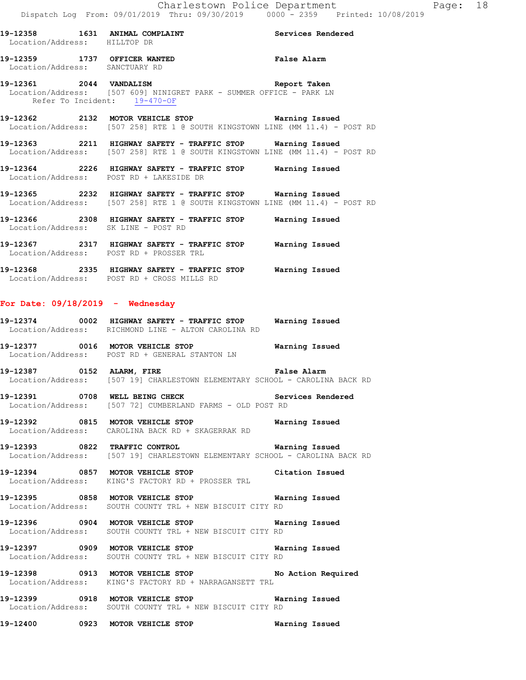**19-12358 1631 ANIMAL COMPLAINT Services Rendered**  Location/Address: HILLTOP DR

**19-12359 1737 OFFICER WANTED False Alarm**  Location/Address: SANCTUARY RD

**19-12361 2044 VANDALISM Report Taken**  Location/Address: [507 609] NINIGRET PARK - SUMMER OFFICE - PARK LN Refer To Incident: 19-470-OF

**19-12362 2132 MOTOR VEHICLE STOP Warning Issued**  Location/Address: [507 258] RTE 1 @ SOUTH KINGSTOWN LINE (MM 11.4) - POST RD

**19-12363 2211 HIGHWAY SAFETY - TRAFFIC STOP Warning Issued**  Location/Address: [507 258] RTE 1 @ SOUTH KINGSTOWN LINE (MM 11.4) - POST RD

**19-12364 2226 HIGHWAY SAFETY - TRAFFIC STOP Warning Issued**  Location/Address: POST RD + LAKESIDE DR

**19-12365 2232 HIGHWAY SAFETY - TRAFFIC STOP Warning Issued**  Location/Address: [507 258] RTE 1 @ SOUTH KINGSTOWN LINE (MM 11.4) - POST RD

**19-12366 2308 HIGHWAY SAFETY - TRAFFIC STOP Warning Issued**  Location/Address: SK LINE - POST RD

**19-12367 2317 HIGHWAY SAFETY - TRAFFIC STOP Warning Issued**  Location/Address: POST RD + PROSSER TRL

**19-12368 2335 HIGHWAY SAFETY - TRAFFIC STOP Warning Issued**  Location/Address: POST RD + CROSS MILLS RD

#### **For Date: 09/18/2019 - Wednesday**

- **19-12374 0002 HIGHWAY SAFETY TRAFFIC STOP Warning Issued**  Location/Address: RICHMOND LINE - ALTON CAROLINA RD
- **19-12377 0016 MOTOR VEHICLE STOP Warning Issued**  Location/Address: POST RD + GENERAL STANTON LN

**19-12387 0152 ALARM, FIRE False Alarm**  Location/Address: [507 19] CHARLESTOWN ELEMENTARY SCHOOL - CAROLINA BACK RD

**19-12391 0708 WELL BEING CHECK Services Rendered**  Location/Address: [507 72] CUMBERLAND FARMS - OLD POST RD

**19-12392 0815 MOTOR VEHICLE STOP Warning Issued**  Location/Address: CAROLINA BACK RD + SKAGERRAK RD

**19-12393 0822 TRAFFIC CONTROL Warning Issued**  Location/Address: [507 19] CHARLESTOWN ELEMENTARY SCHOOL - CAROLINA BACK RD

**19-12394 0857 MOTOR VEHICLE STOP Citation Issued**  Location/Address: KING'S FACTORY RD + PROSSER TRL

**19-12395 0858 MOTOR VEHICLE STOP Warning Issued**  Location/Address: SOUTH COUNTY TRL + NEW BISCUIT CITY RD

**19-12396 0904 MOTOR VEHICLE STOP Warning Issued**  Location/Address: SOUTH COUNTY TRL + NEW BISCUIT CITY RD

**19-12397 0909 MOTOR VEHICLE STOP Warning Issued**  Location/Address: SOUTH COUNTY TRL + NEW BISCUIT CITY RD

**19-12398 0913 MOTOR VEHICLE STOP No Action Required**  Location/Address: KING'S FACTORY RD + NARRAGANSETT TRL

**19-12399 0918 MOTOR VEHICLE STOP Warning Issued**  Location/Address: SOUTH COUNTY TRL + NEW BISCUIT CITY RD

**19-12400 0923 MOTOR VEHICLE STOP Warning Issued**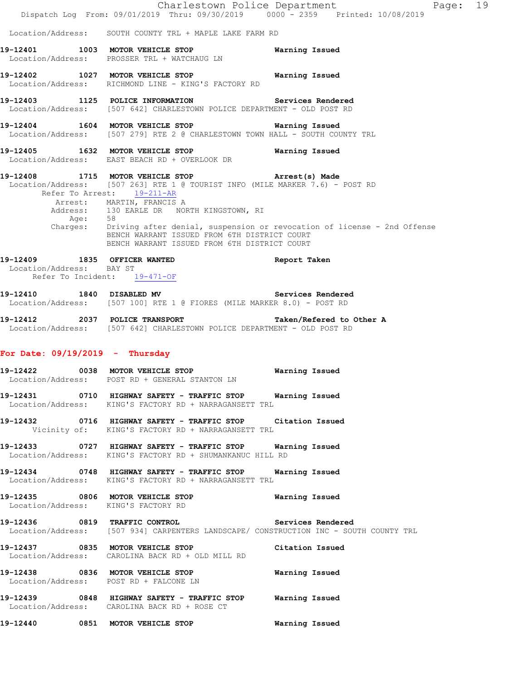|                                                          | Dispatch Log From: 09/01/2019 Thru: 09/30/2019 0000 - 2359 Printed: 10/08/2019                                                                                                                                                                                                                                                                 | Charlestown Police Department<br>Page: 19                                                                  |
|----------------------------------------------------------|------------------------------------------------------------------------------------------------------------------------------------------------------------------------------------------------------------------------------------------------------------------------------------------------------------------------------------------------|------------------------------------------------------------------------------------------------------------|
|                                                          | Location/Address: SOUTH COUNTY TRL + MAPLE LAKE FARM RD                                                                                                                                                                                                                                                                                        |                                                                                                            |
|                                                          | 19-12401 1003 MOTOR VEHICLE STOP<br>Location/Address: PROSSER TRL + WATCHAUG LN                                                                                                                                                                                                                                                                | Warning Issued                                                                                             |
|                                                          | 19-12402 1027 MOTOR VEHICLE STOP 6 Warning Issued<br>Location/Address: RICHMOND LINE - KING'S FACTORY RD                                                                                                                                                                                                                                       |                                                                                                            |
|                                                          | 19-12403 1125 POLICE INFORMATION<br>Location/Address: [507 642] CHARLESTOWN POLICE DEPARTMENT - OLD POST RD                                                                                                                                                                                                                                    | Services Rendered                                                                                          |
|                                                          | 19-12404 1604 MOTOR VEHICLE STOP 6 Warning Issued<br>Location/Address: [507 279] RTE 2 @ CHARLESTOWN TOWN HALL - SOUTH COUNTY TRL                                                                                                                                                                                                              |                                                                                                            |
|                                                          | 19-12405 1632 MOTOR VEHICLE STOP<br>Location/Address: EAST BEACH RD + OVERLOOK DR                                                                                                                                                                                                                                                              | Warning Issued                                                                                             |
|                                                          | 19-12408 1715 MOTOR VEHICLE STOP <b>Arrest(s)</b> Made<br>Location/Address: [507 263] RTE 1 @ TOURIST INFO (MILE MARKER 7.6) - POST RD<br>Refer To Arrest: 19-211-AR<br>Arrest: MARTIN, FRANCIS A<br>Address: 130 EARLE DR NORTH KINGSTOWN, RI<br>BENCH WARRANT ISSUED FROM 6TH DISTRICT COURT<br>BENCH WARRANT ISSUED FROM 6TH DISTRICT COURT | Age: 58<br>Charges: 58<br>Charges: Driving after denial, suspension or revocation of license - 2nd Offense |
| Location/Address: BAY ST<br>Refer To Incident: 19-471-OF | 19-12409 1835 OFFICER WANTED                                                                                                                                                                                                                                                                                                                   | Report Taken                                                                                               |
|                                                          | 19-12410 1840 DISABLED MV<br>Location/Address: [507 100] RTE 1 @ FIORES (MILE MARKER 8.0) - POST RD                                                                                                                                                                                                                                            | Services Rendered                                                                                          |
|                                                          | 19-12412 2037 POLICE TRANSPORT Taken/Refered to Other A<br>Location/Address: [507 642] CHARLESTOWN POLICE DEPARTMENT - OLD POST RD                                                                                                                                                                                                             |                                                                                                            |
| For Date: $09/19/2019$ - Thursday                        |                                                                                                                                                                                                                                                                                                                                                |                                                                                                            |
|                                                          | 19-12422 0038 MOTOR VEHICLE STOP<br>Location/Address: POST RD + GENERAL STANTON LN                                                                                                                                                                                                                                                             | Warning Issued                                                                                             |
|                                                          | 19-12431 6710 HIGHWAY SAFETY - TRAFFIC STOP Warning Issued<br>Location/Address: KING'S FACTORY RD + NARRAGANSETT TRL                                                                                                                                                                                                                           |                                                                                                            |
|                                                          | 19-12432 0716 HIGHWAY SAFETY - TRAFFIC STOP Citation Issued<br>Vicinity of: KING'S FACTORY RD + NARRAGANSETT TRL                                                                                                                                                                                                                               |                                                                                                            |
|                                                          | 19-12433   0727   HIGHWAY SAFETY - TRAFFIC STOP   Warning Issued<br>Location/Address: KING'S FACTORY RD + SHUMANKANUC HILL RD                                                                                                                                                                                                                  |                                                                                                            |
|                                                          | 19-12434 0748 HIGHWAY SAFETY - TRAFFIC STOP Warning Issued<br>Location/Address: KING'S FACTORY RD + NARRAGANSETT TRL                                                                                                                                                                                                                           |                                                                                                            |
|                                                          | 19-12435 6806 MOTOR VEHICLE STOP 6 Warning Issued<br>Location/Address: KING'S FACTORY RD                                                                                                                                                                                                                                                       |                                                                                                            |
|                                                          | 19-12436 6819 TRAFFIC CONTROL 19 Services Rendered<br>Location/Address: [507 934] CARPENTERS LANDSCAPE/ CONSTRUCTION INC - SOUTH COUNTY TRL                                                                                                                                                                                                    |                                                                                                            |
|                                                          | 19-12437 0835 MOTOR VEHICLE STOP Citation Issued<br>Location/Address: CAROLINA BACK RD + OLD MILL RD                                                                                                                                                                                                                                           |                                                                                                            |
|                                                          | 19-12438 6836 MOTOR VEHICLE STOP 6 Warning Issued<br>Location/Address: POST RD + FALCONE LN                                                                                                                                                                                                                                                    |                                                                                                            |
|                                                          | 19-12439 0848 HIGHWAY SAFETY - TRAFFIC STOP Warning Issued<br>Location/Address: CAROLINA BACK RD + ROSE CT                                                                                                                                                                                                                                     |                                                                                                            |
|                                                          | 19-12440 0851 MOTOR VEHICLE STOP                                                                                                                                                                                                                                                                                                               | Warning Issued                                                                                             |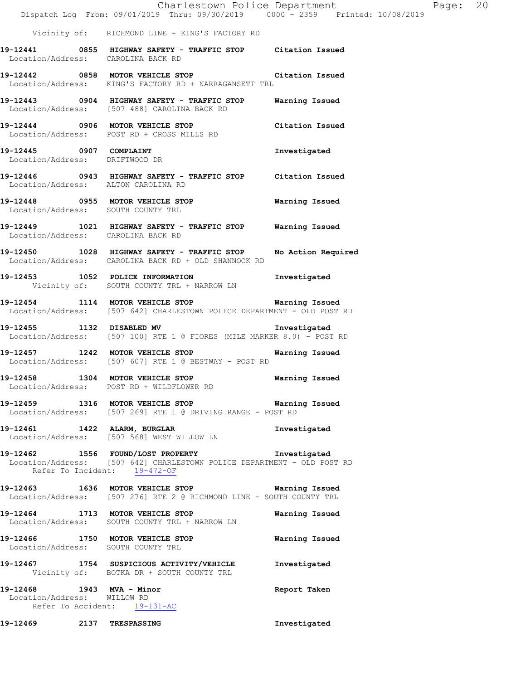|                                                                                          | Dispatch Log From: 09/01/2019 Thru: 09/30/2019 0000 - 2359 Printed: 10/08/2019                                                                            | Charlestown Police Department | Page: 20 |  |
|------------------------------------------------------------------------------------------|-----------------------------------------------------------------------------------------------------------------------------------------------------------|-------------------------------|----------|--|
|                                                                                          | Vicinity of: RICHMOND LINE - KING'S FACTORY RD                                                                                                            |                               |          |  |
| Location/Address: CAROLINA BACK RD                                                       | 19-12441 0855 HIGHWAY SAFETY - TRAFFIC STOP Citation Issued                                                                                               |                               |          |  |
|                                                                                          | 19-12442 0858 MOTOR VEHICLE STOP Citation Issued<br>Location/Address: KING'S FACTORY RD + NARRAGANSETT TRL                                                |                               |          |  |
|                                                                                          | 19-12443 0904 HIGHWAY SAFETY - TRAFFIC STOP Warning Issued<br>Location/Address: [507 488] CAROLINA BACK RD                                                |                               |          |  |
|                                                                                          | 19-12444 0906 MOTOR VEHICLE STOP<br>Location/Address: POST RD + CROSS MILLS RD                                                                            | Citation Issued               |          |  |
| 19-12445 0907 COMPLAINT<br>Location/Address: DRIFTWOOD DR                                |                                                                                                                                                           | Investigated                  |          |  |
|                                                                                          | 19-12446 0943 HIGHWAY SAFETY - TRAFFIC STOP Citation Issued<br>Location/Address: ALTON CAROLINA RD                                                        |                               |          |  |
|                                                                                          | 19-12448 0955 MOTOR VEHICLE STOP 6 Warning Issued<br>Location/Address: SOUTH COUNTY TRL                                                                   |                               |          |  |
| Location/Address: CAROLINA BACK RD                                                       | 19-12449 1021 HIGHWAY SAFETY - TRAFFIC STOP Warning Issued                                                                                                |                               |          |  |
|                                                                                          | 19-12450 1028 HIGHWAY SAFETY - TRAFFIC STOP<br>Location/Address: CAROLINA BACK RD + OLD SHANNOCK RD                                                       | No Action Required            |          |  |
|                                                                                          | 19-12453 1052 POLICE INFORMATION<br>Vicinity of: SOUTH COUNTY TRL + NARROW LN                                                                             | Investigated                  |          |  |
|                                                                                          | 19-12454 1114 MOTOR VEHICLE STOP Warning Issued<br>Location/Address: [507 642] CHARLESTOWN POLICE DEPARTMENT - OLD POST RD                                |                               |          |  |
|                                                                                          | 19-12455 1132 DISABLED MV<br>Location/Address: [507 100] RTE 1 @ FIORES (MILE MARKER 8.0) - POST RD                                                       | Investigated                  |          |  |
|                                                                                          | 19-12457 1242 MOTOR VEHICLE STOP 6 Warning Issued<br>Location/Address: [507 607] RTE 1 @ BESTWAY - POST RD                                                |                               |          |  |
|                                                                                          | 19-12458 1304 MOTOR VEHICLE STOP<br>Location/Address: POST RD + WILDFLOWER RD                                                                             | <b>Warning Issued</b>         |          |  |
|                                                                                          | 19-12459 1316 MOTOR VEHICLE STOP 6 Warning Issued<br>Location/Address: [507 269] RTE 1 @ DRIVING RANGE - POST RD                                          |                               |          |  |
|                                                                                          | 19-12461 1422 ALARM, BURGLAR<br>Location/Address: [507 568] WEST WILLOW LN                                                                                | Investigated                  |          |  |
|                                                                                          | 19-12462 1556 FOUND/LOST PROPERTY 1nvestigated<br>Location/Address: [507 642] CHARLESTOWN POLICE DEPARTMENT - OLD POST RD<br>Refer To Incident: 19-472-OF |                               |          |  |
|                                                                                          | 19-12463 1636 MOTOR VEHICLE STOP 6 Warning Issued<br>Location/Address: [507 276] RTE 2 @ RICHMOND LINE - SOUTH COUNTY TRL                                 |                               |          |  |
|                                                                                          | 19-12464 1713 MOTOR VEHICLE STOP<br>Location/Address: SOUTH COUNTY TRL + NARROW LN                                                                        | Warning Issued                |          |  |
| Location/Address: SOUTH COUNTY TRL                                                       | 19-12466 1750 MOTOR VEHICLE STOP 6 Warning Issued                                                                                                         |                               |          |  |
|                                                                                          | 19-12467 1754 SUSPICIOUS ACTIVITY/VEHICLE<br>Vicinity of: BOTKA DR + SOUTH COUNTY TRL                                                                     | Investigated                  |          |  |
| 19-12468 1943 MVA - Minor<br>Location/Address: WILLOW RD<br>Refer To Accident: 19-131-AC |                                                                                                                                                           | Report Taken                  |          |  |
| 19-12469 2137 TRESPASSING                                                                |                                                                                                                                                           | Investigated                  |          |  |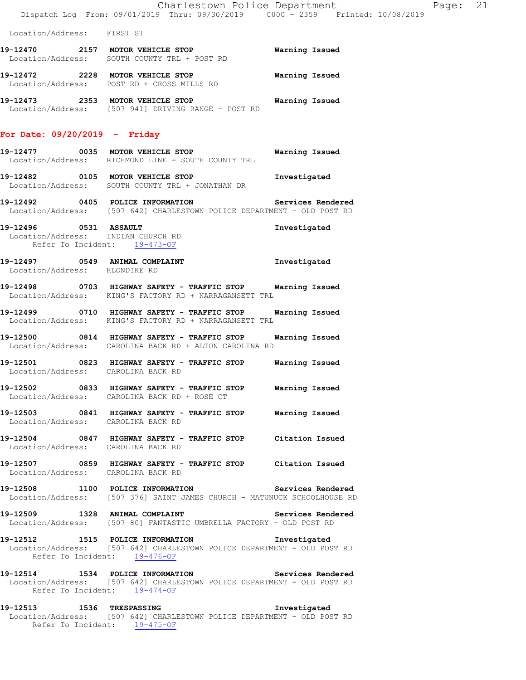Location/Address: FIRST ST

- **19-12470 2157 MOTOR VEHICLE STOP Warning Issued**  Location/Address: SOUTH COUNTY TRL + POST RD **19-12472 2228 MOTOR VEHICLE STOP Warning Issued**
- Location/Address: POST RD + CROSS MILLS RD **19-12473 2353 MOTOR VEHICLE STOP Warning Issued**
- Location/Address: [507 941] DRIVING RANGE POST RD

#### **For Date: 09/20/2019 - Friday**

- **19-12477 0035 MOTOR VEHICLE STOP Warning Issued**  Location/Address: RICHMOND LINE - SOUTH COUNTY TRL
- **19-12482 0105 MOTOR VEHICLE STOP Investigated**  Location/Address: SOUTH COUNTY TRL + JONATHAN DR
- **19-12492 0405 POLICE INFORMATION Services Rendered**  Location/Address: [507 642] CHARLESTOWN POLICE DEPARTMENT - OLD POST RD
- **19-12496 0531 ASSAULT Investigated**  Location/Address: INDIAN CHURCH RD Refer To Incident: 19-473-OF
- **19-12497 0549 ANIMAL COMPLAINT Investigated**  Location/Address: KLONDIKE RD
- **19-12498 0703 HIGHWAY SAFETY TRAFFIC STOP Warning Issued**  Location/Address: KING'S FACTORY RD + NARRAGANSETT TRL
- **19-12499 0710 HIGHWAY SAFETY TRAFFIC STOP Warning Issued**  Location/Address: KING'S FACTORY RD + NARRAGANSETT TRL
- **19-12500 0814 HIGHWAY SAFETY TRAFFIC STOP Warning Issued**  Location/Address: CAROLINA BACK RD + ALTON CAROLINA RD
- **19-12501 0823 HIGHWAY SAFETY TRAFFIC STOP Warning Issued**  Location/Address: CAROLINA BACK RD
- **19-12502 0833 HIGHWAY SAFETY TRAFFIC STOP Warning Issued**  Location/Address: CAROLINA BACK RD + ROSE CT
- **19-12503 0841 HIGHWAY SAFETY TRAFFIC STOP Warning Issued**  Location/Address: CAROLINA BACK RD
- **19-12504 0847 HIGHWAY SAFETY TRAFFIC STOP Citation Issued**  Location/Address: CAROLINA BACK RD
- **19-12507 0859 HIGHWAY SAFETY TRAFFIC STOP Citation Issued**  Location/Address: CAROLINA BACK RD
- **19-12508 1100 POLICE INFORMATION Services Rendered**  Location/Address: [507 376] SAINT JAMES CHURCH - MATUNUCK SCHOOLHOUSE RD
- **19-12509 1328 ANIMAL COMPLAINT Services Rendered**  Location/Address: [507 80] FANTASTIC UMBRELLA FACTORY - OLD POST RD
- **19-12512 1515 POLICE INFORMATION Investigated**  Location/Address: [507 642] CHARLESTOWN POLICE DEPARTMENT - OLD POST RD Refer To Incident: 19-476-OF
- **19-12514 1534 POLICE INFORMATION Services Rendered**  Location/Address: [507 642] CHARLESTOWN POLICE DEPARTMENT - OLD POST RD Refer To Incident: 19-474-OF
- **19-12513 1536 TRESPASSING Investigated**  Location/Address: [507 642] CHARLESTOWN POLICE DEPARTMENT - OLD POST RD Refer To Incident: 19-475-OF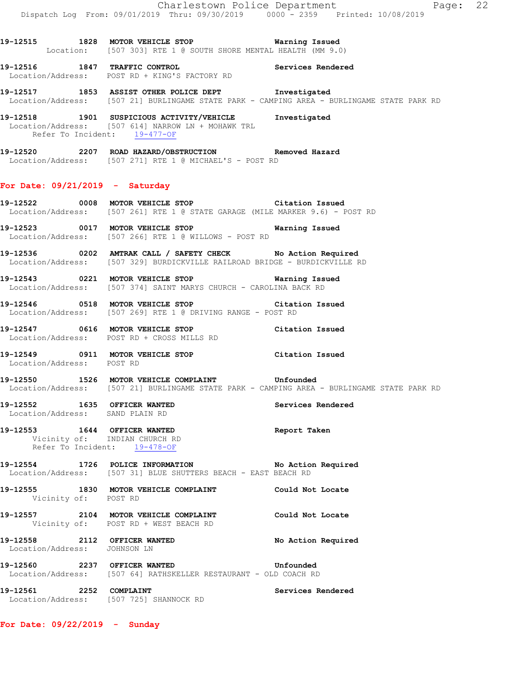**19-12515 1828 MOTOR VEHICLE STOP Warning Issued**  Location: [507 303] RTE 1 @ SOUTH SHORE MENTAL HEALTH (MM 9.0) **19-12516 1847 TRAFFIC CONTROL Services Rendered**  Location/Address: POST RD + KING'S FACTORY RD **19-12517 1853 ASSIST OTHER POLICE DEPT Investigated**  Location/Address: [507 21] BURLINGAME STATE PARK - CAMPING AREA - BURLINGAME STATE PARK RD **19-12518 1901 SUSPICIOUS ACTIVITY/VEHICLE Investigated**  Location/Address: [507 614] NARROW LN + MOHAWK TRL Refer To Incident: 19-477-OF **19-12520 2207 ROAD HAZARD/OBSTRUCTION Removed Hazard**  Location/Address: [507 271] RTE 1 @ MICHAEL'S - POST RD **For Date: 09/21/2019 - Saturday 19-12522 0008 MOTOR VEHICLE STOP Citation Issued**  Location/Address: [507 261] RTE 1 @ STATE GARAGE (MILE MARKER 9.6) - POST RD **19-12523 0017 MOTOR VEHICLE STOP Warning Issued**  Location/Address: [507 266] RTE 1 @ WILLOWS - POST RD **19-12536 0202 AMTRAK CALL / SAFETY CHECK No Action Required**  Location/Address: [507 329] BURDICKVILLE RAILROAD BRIDGE - BURDICKVILLE RD **19-12543 0221 MOTOR VEHICLE STOP Warning Issued**  Location/Address: [507 374] SAINT MARYS CHURCH - CAROLINA BACK RD **19-12546 0518 MOTOR VEHICLE STOP Citation Issued**  Location/Address: [507 269] RTE 1 @ DRIVING RANGE - POST RD **19-12547 0616 MOTOR VEHICLE STOP Citation Issued**  Location/Address: POST RD + CROSS MILLS RD **19-12549 0911 MOTOR VEHICLE STOP Citation Issued**  Location/Address: POST RD **19-12550 1526 MOTOR VEHICLE COMPLAINT Unfounded**  Location/Address: [507 21] BURLINGAME STATE PARK - CAMPING AREA - BURLINGAME STATE PARK RD **19-12552 1635 OFFICER WANTED Services Rendered**  Location/Address: SAND PLAIN RD **19-12553 1644 OFFICER WANTED Report Taken**  Vicinity of: INDIAN CHURCH RD Refer To Incident: 19-478-OF **19-12554 1726 POLICE INFORMATION No Action Required**  Location/Address: [507 31] BLUE SHUTTERS BEACH - EAST BEACH RD **19-12555 1830 MOTOR VEHICLE COMPLAINT Could Not Locate**  Vicinity of: POST RD **19-12557 2104 MOTOR VEHICLE COMPLAINT Could Not Locate**  Vicinity of: POST RD + WEST BEACH RD 19-12558 2112 OFFICER WANTED No Action Required Location/Address: JOHNSON LN **19-12560 2237 OFFICER WANTED Unfounded**  Location/Address: [507 64] RATHSKELLER RESTAURANT - OLD COACH RD **19-12561 2252 COMPLAINT Services Rendered**  Location/Address: [507 725] SHANNOCK RD

**For Date: 09/22/2019 - Sunday**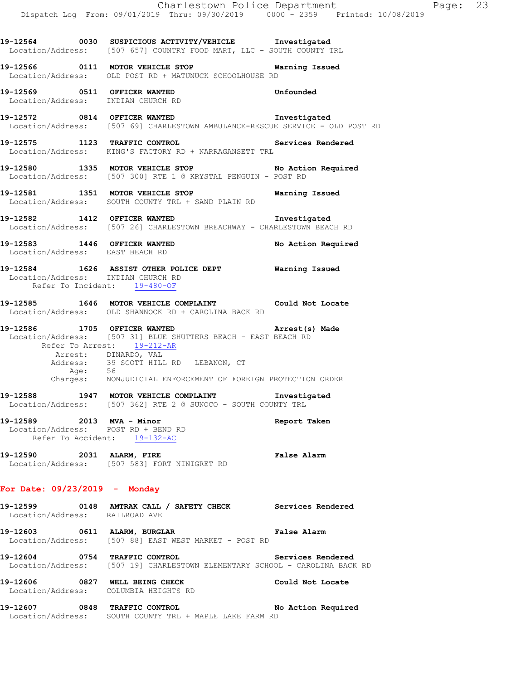**19-12564 0030 SUSPICIOUS ACTIVITY/VEHICLE Investigated**  Location/Address: [507 657] COUNTRY FOOD MART, LLC - SOUTH COUNTY TRL

**19-12566 0111 MOTOR VEHICLE STOP Warning Issued**  Location/Address: OLD POST RD + MATUNUCK SCHOOLHOUSE RD **19-12569 0511 OFFICER WANTED Unfounded**  Location/Address: INDIAN CHURCH RD **19-12572 0814 OFFICER WANTED Investigated**  Location/Address: [507 69] CHARLESTOWN AMBULANCE-RESCUE SERVICE - OLD POST RD **19-12575 1123 TRAFFIC CONTROL Services Rendered**  Location/Address: KING'S FACTORY RD + NARRAGANSETT TRL 19-12580 1335 MOTOR VEHICLE STOP No Action Required Location/Address: [507 300] RTE 1 @ KRYSTAL PENGUIN - POST RD **19-12581 1351 MOTOR VEHICLE STOP Warning Issued**  Location/Address: SOUTH COUNTY TRL + SAND PLAIN RD **19-12582 1412 OFFICER WANTED Investigated**  Location/Address: [507 26] CHARLESTOWN BREACHWAY - CHARLESTOWN BEACH RD **19-12583 1446 OFFICER WANTED No Action Required**  Location/Address: EAST BEACH RD **19-12584 1626 ASSIST OTHER POLICE DEPT Warning Issued**  Location/Address: INDIAN CHURCH RD Refer To Incident: 19-480-OF **19-12585 1646 MOTOR VEHICLE COMPLAINT Could Not Locate**  Location/Address: OLD SHANNOCK RD + CAROLINA BACK RD **19-12586 1705 OFFICER WANTED Arrest(s) Made**  Location/Address: [507 31] BLUE SHUTTERS BEACH - EAST BEACH RD Refer To Arrest: 19-212-AR Arrest: DINARDO, VAL Address: 39 SCOTT HILL RD LEBANON, CT Age: 56 Charges: NONJUDICIAL ENFORCEMENT OF FOREIGN PROTECTION ORDER **19-12588 1947 MOTOR VEHICLE COMPLAINT Investigated**  Location/Address: [507 362] RTE 2 @ SUNOCO - SOUTH COUNTY TRL **19-12589 2013 MVA - Minor Report Taken**  Location/Address: POST RD + BEND RD Refer To Accident: 19-132-AC **19-12590 2031 ALARM, FIRE False Alarm**  Location/Address: [507 583] FORT NINIGRET RD **For Date: 09/23/2019 - Monday 19-12599 0148 AMTRAK CALL / SAFETY CHECK Services Rendered**  Location/Address: RAILROAD AVE **19-12603 0611 ALARM, BURGLAR False Alarm**  Location/Address: [507 88] EAST WEST MARKET - POST RD **19-12604 0754 TRAFFIC CONTROL Services Rendered**  Location/Address: [507 19] CHARLESTOWN ELEMENTARY SCHOOL - CAROLINA BACK RD **19-12606 0827 WELL BEING CHECK Could Not Locate**  Location/Address: COLUMBIA HEIGHTS RD **19-12607 0848 TRAFFIC CONTROL No Action Required**  Location/Address: SOUTH COUNTY TRL + MAPLE LAKE FARM RD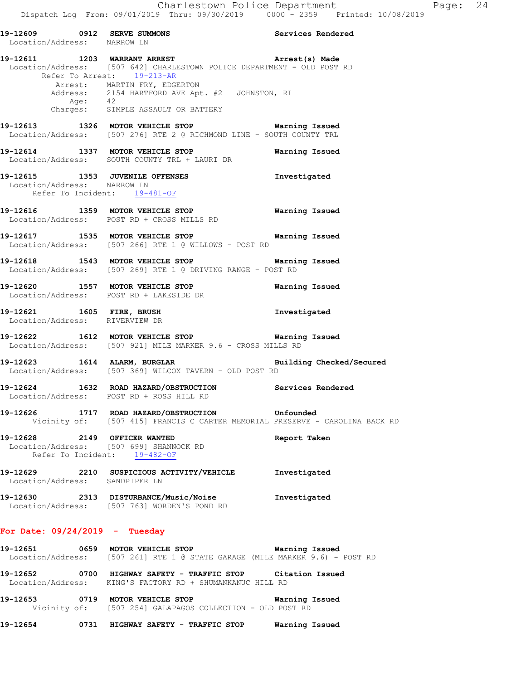|                             | Dispatch Log From: 09/01/2019 Thru: 09/30/2019 0000 - 2359 Printed: 10/08/2019                                                                                                                                                                                                                        |                |
|-----------------------------|-------------------------------------------------------------------------------------------------------------------------------------------------------------------------------------------------------------------------------------------------------------------------------------------------------|----------------|
| Location/Address: NARROW LN | 19-12609 0912 SERVE SUMMONS Noted that Services Rendered                                                                                                                                                                                                                                              |                |
|                             | 19-12611 1203 WARRANT ARREST <b>1201 Arrest</b> (s) Made<br>Location/Address: [507 642] CHARLESTOWN POLICE DEPARTMENT - OLD POST RD<br>Refer To Arrest: 19-213-AR<br>Arrest: MARTIN FRY, EDGERTON<br>Address: 2154 HARTFORD AVE Apt. #2 JOHNSTON, RI<br>Age: 42<br>Charges: SIMPLE ASSAULT OR BATTERY |                |
|                             | 19-12613 1326 MOTOR VEHICLE STOP 6 Warning Issued<br>Location/Address: [507 276] RTE 2 @ RICHMOND LINE - SOUTH COUNTY TRL                                                                                                                                                                             |                |
|                             | 19-12614 1337 MOTOR VEHICLE STOP<br>Location/Address: SOUTH COUNTY TRL + LAURI DR                                                                                                                                                                                                                     | Warning Issued |
| Location/Address: NARROW LN | 19-12615 1353 JUVENILE OFFENSES<br>Refer To Incident: 19-481-OF                                                                                                                                                                                                                                       | Investigated   |
|                             | 19-12616 1359 MOTOR VEHICLE STOP<br>Location/Address: POST RD + CROSS MILLS RD                                                                                                                                                                                                                        | Warning Issued |
|                             | 19-12617 1535 MOTOR VEHICLE STOP<br>Location/Address: [507 266] RTE 1 @ WILLOWS - POST RD                                                                                                                                                                                                             | Warning Issued |

- **19-12618 1543 MOTOR VEHICLE STOP Warning Issued**  Location/Address: [507 269] RTE 1 @ DRIVING RANGE - POST RD
- **19-12620 1557 MOTOR VEHICLE STOP Warning Issued**  Location/Address: POST RD + LAKESIDE DR
- **19-12621 1605 FIRE, BRUSH Investigated**  Location/Address: RIVERVIEW DR

- **19-12622 1612 MOTOR VEHICLE STOP Warning Issued**  Location/Address: [507 921] MILE MARKER 9.6 - CROSS MILLS RD
- **19-12623 1614 ALARM, BURGLAR Building Checked/Secured**  Location/Address: [507 369] WILCOX TAVERN - OLD POST RD
- **19-12624 1632 ROAD HAZARD/OBSTRUCTION Services Rendered**  Location/Address: POST RD + ROSS HILL RD
- **19-12626 1717 ROAD HAZARD/OBSTRUCTION Unfounded**  Vicinity of: [507 415] FRANCIS C CARTER MEMORIAL PRESERVE - CAROLINA BACK RD
- **19-12628 2149 OFFICER WANTED Report Taken**  Location/Address: [507 699] SHANNOCK RD Refer To Incident: 19-482-OF
- **19-12629 2210 SUSPICIOUS ACTIVITY/VEHICLE Investigated**  Location/Address: SANDPIPER LN
- **19-12630 2313 DISTURBANCE/Music/Noise Investigated**  Location/Address: [507 763] WORDEN'S POND RD

### **For Date: 09/24/2019 - Tuesday**

- **19-12651 0659 MOTOR VEHICLE STOP Warning Issued**  Location/Address: [507 261] RTE 1 @ STATE GARAGE (MILE MARKER 9.6) - POST RD
- **19-12652 0700 HIGHWAY SAFETY TRAFFIC STOP Citation Issued**  Location/Address: KING'S FACTORY RD + SHUMANKANUC HILL RD
- **19-12653 0719 MOTOR VEHICLE STOP Warning Issued**  Vicinity of: [507 254] GALAPAGOS COLLECTION - OLD POST RD
- **19-12654 0731 HIGHWAY SAFETY TRAFFIC STOP Warning Issued**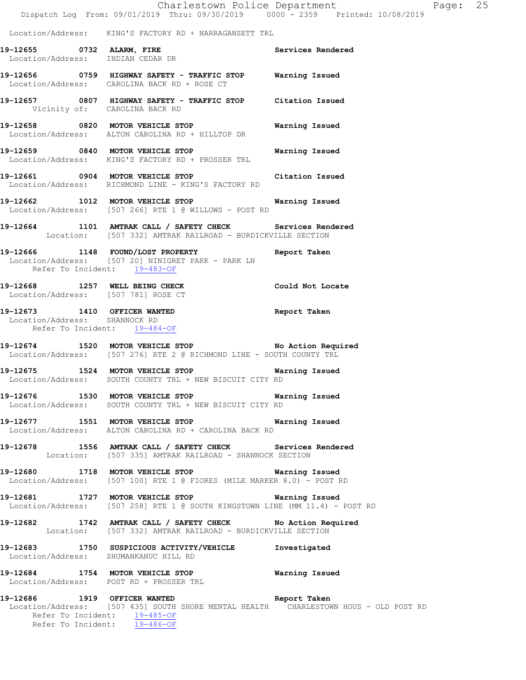Charlestown Police Department The Page: 25 Dispatch Log From: 09/01/2019 Thru: 09/30/2019 0000 - 2359 Printed: 10/08/2019

Location/Address: KING'S FACTORY RD + NARRAGANSETT TRL

- **19-12655 0732 ALARM, FIRE Services Rendered**  Location/Address: INDIAN CEDAR DR
- **19-12656 0759 HIGHWAY SAFETY TRAFFIC STOP Warning Issued**  Location/Address: CAROLINA BACK RD + ROSE CT
- **19-12657 0807 HIGHWAY SAFETY TRAFFIC STOP Citation Issued**  Vicinity of: CAROLINA BACK RD
- **19-12658 0820 MOTOR VEHICLE STOP Warning Issued**  Location/Address: ALTON CAROLINA RD + HILLTOP DR
- **19-12659 0840 MOTOR VEHICLE STOP Warning Issued**  Location/Address: KING'S FACTORY RD + PROSSER TRL
- **19-12661 0904 MOTOR VEHICLE STOP Citation Issued**  Location/Address: RICHMOND LINE - KING'S FACTORY RD
- **19-12662 1012 MOTOR VEHICLE STOP Warning Issued**  Location/Address: [507 266] RTE 1 @ WILLOWS - POST RD
- **19-12664 1101 AMTRAK CALL / SAFETY CHECK Services Rendered**  Location: [507 332] AMTRAK RAILROAD - BURDICKVILLE SECTION
- **19-12666 1148 FOUND/LOST PROPERTY Report Taken**  Location/Address: [507 20] NINIGRET PARK - PARK LN Refer To Incident: 19-483-OF
- **19-12668 1257 WELL BEING CHECK Could Not Locate**  Location/Address: [507 781] ROSE CT
- **19-12673 1410 OFFICER WANTED Report Taken**  Location/Address: SHANNOCK RD Refer To Incident: 19-484-OF
- **19-12674 1520 MOTOR VEHICLE STOP No Action Required**  Location/Address: [507 276] RTE 2 @ RICHMOND LINE - SOUTH COUNTY TRL
- **19-12675 1524 MOTOR VEHICLE STOP Warning Issued**  Location/Address: SOUTH COUNTY TRL + NEW BISCUIT CITY RD
- **19-12676 1530 MOTOR VEHICLE STOP Warning Issued**  Location/Address: SOUTH COUNTY TRL + NEW BISCUIT CITY RD
- **19-12677 1551 MOTOR VEHICLE STOP Warning Issued**  Location/Address: ALTON CAROLINA RD + CAROLINA BACK RD
- **19-12678 1556 AMTRAK CALL / SAFETY CHECK Services Rendered**  Location: [507 335] AMTRAK RAILROAD - SHANNOCK SECTION
- **19-12680 1718 MOTOR VEHICLE STOP Warning Issued**  Location/Address: [507 100] RTE 1 @ FIORES (MILE MARKER 8.0) - POST RD
- **19-12681 1727 MOTOR VEHICLE STOP Warning Issued**  Location/Address: [507 258] RTE 1 @ SOUTH KINGSTOWN LINE (MM 11.4) - POST RD
- **19-12682 1742 AMTRAK CALL / SAFETY CHECK No Action Required**  Location: [507 332] AMTRAK RAILROAD - BURDICKVILLE SECTION
- **19-12683 1750 SUSPICIOUS ACTIVITY/VEHICLE Investigated**  Location/Address: SHUMANKANUC HILL RD
- **19-12684 1754 MOTOR VEHICLE STOP Warning Issued**  Location/Address: POST RD + PROSSER TRL
- **19-12686 1919 OFFICER WANTED Report Taken**  Location/Address: [507 435] SOUTH SHORE MENTAL HEALTH CHARLESTOWN HOUS - OLD POST RD Refer To Incident: 19-485-OF Refer To Incident: 19-486-OF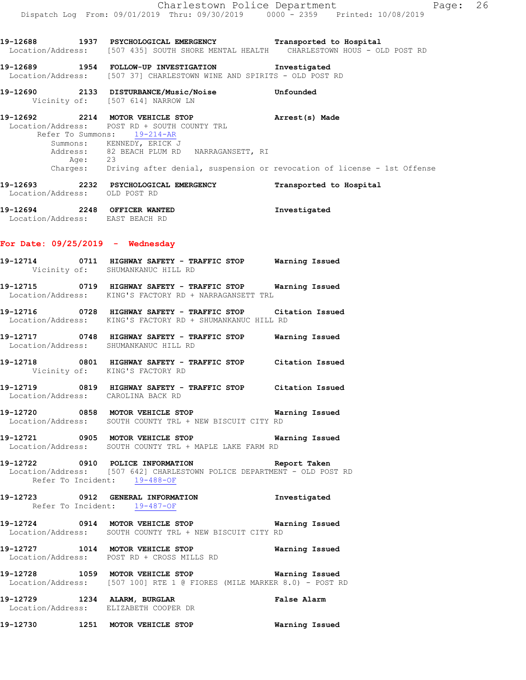**19-12688 1937 PSYCHOLOGICAL EMERGENCY Transported to Hospital**  Location/Address: [507 435] SOUTH SHORE MENTAL HEALTH CHARLESTOWN HOUS - OLD POST RD **19-12689 1954 FOLLOW-UP INVESTIGATION Investigated**  Location/Address: [507 37] CHARLESTOWN WINE AND SPIRITS - OLD POST RD **19-12690 2133 DISTURBANCE/Music/Noise Unfounded**  Vicinity of: [507 614] NARROW LN **19-12692 2214 MOTOR VEHICLE STOP Arrest(s) Made**  Location/Address: POST RD + SOUTH COUNTY TRL Refer To Summons: 19-214-AR Summons: KENNEDY, ERICK J Address: 82 BEACH PLUM RD NARRAGANSETT, RI Age: 23 Charges: Driving after denial, suspension or revocation of license - 1st Offense **19-12693 2232 PSYCHOLOGICAL EMERGENCY Transported to Hospital**  Location/Address: OLD POST RD **19-12694 2248 OFFICER WANTED Investigated**  Location/Address: EAST BEACH RD **For Date: 09/25/2019 - Wednesday 19-12714 0711 HIGHWAY SAFETY - TRAFFIC STOP Warning Issued**  Vicinity of: SHUMANKANUC HILL RD **19-12715 0719 HIGHWAY SAFETY - TRAFFIC STOP Warning Issued**  Location/Address: KING'S FACTORY RD + NARRAGANSETT TRL **19-12716 0728 HIGHWAY SAFETY - TRAFFIC STOP Citation Issued**  Location/Address: KING'S FACTORY RD + SHUMANKANUC HILL RD **19-12717 0748 HIGHWAY SAFETY - TRAFFIC STOP Warning Issued**  Location/Address: SHUMANKANUC HILL RD **19-12718 0801 HIGHWAY SAFETY - TRAFFIC STOP Citation Issued**  Vicinity of: KING'S FACTORY RD **19-12719 0819 HIGHWAY SAFETY - TRAFFIC STOP Citation Issued**  Location/Address: CAROLINA BACK RD **19-12720 0858 MOTOR VEHICLE STOP Warning Issued**  Location/Address: SOUTH COUNTY TRL + NEW BISCUIT CITY RD **19-12721 0905 MOTOR VEHICLE STOP Warning Issued**  Location/Address: SOUTH COUNTY TRL + MAPLE LAKE FARM RD **19-12722 0910 POLICE INFORMATION Report Taken**  Location/Address: [507 642] CHARLESTOWN POLICE DEPARTMENT - OLD POST RD Refer To Incident: 19-488-OF **19-12723 0912 GENERAL INFORMATION Investigated**  Refer To Incident: 19-487-OF **19-12724 0914 MOTOR VEHICLE STOP Warning Issued**  Location/Address: SOUTH COUNTY TRL + NEW BISCUIT CITY RD **19-12727 1014 MOTOR VEHICLE STOP Warning Issued**  Location/Address: POST RD + CROSS MILLS RD **19-12728 1059 MOTOR VEHICLE STOP Warning Issued**  Location/Address: [507 100] RTE 1 @ FIORES (MILE MARKER 8.0) - POST RD **19-12729 1234 ALARM, BURGLAR False Alarm**  Location/Address: ELIZABETH COOPER DR

**19-12730 1251 MOTOR VEHICLE STOP Warning Issued**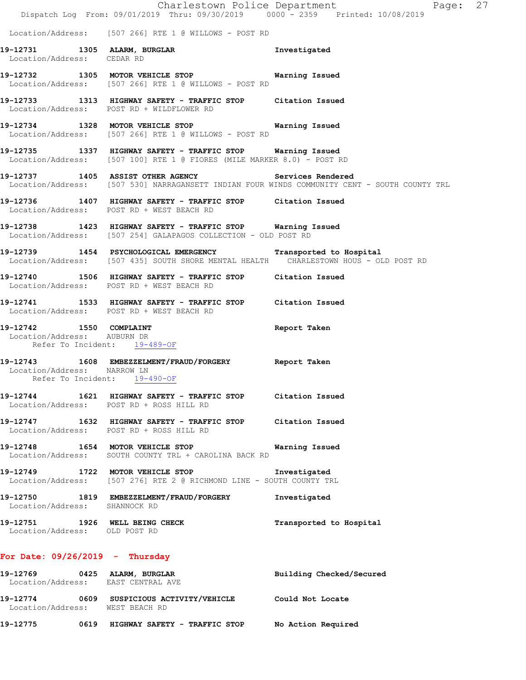|                                                        | Dispatch Log From: 09/01/2019 Thru: 09/30/2019 0000 - 2359 Printed: 10/08/2019                                                                        | Charlestown Police Department<br>Page: 27                                                                                                           |  |
|--------------------------------------------------------|-------------------------------------------------------------------------------------------------------------------------------------------------------|-----------------------------------------------------------------------------------------------------------------------------------------------------|--|
|                                                        | Location/Address: [507 266] RTE 1 @ WILLOWS - POST RD                                                                                                 |                                                                                                                                                     |  |
| Location/Address: CEDAR RD                             | 19-12731 1305 ALARM, BURGLAR<br>Location/Address: CEDAR RD                                                                                            | Investigated                                                                                                                                        |  |
|                                                        | 19-12732 1305 MOTOR VEHICLE STOP 6 Warning Issued<br>Location/Address: [507 266] RTE 1 @ WILLOWS - POST RD                                            |                                                                                                                                                     |  |
|                                                        | 19-12733 1313 HIGHWAY SAFETY - TRAFFIC STOP Citation Issued<br>Location/Address: POST RD + WILDFLOWER RD                                              |                                                                                                                                                     |  |
|                                                        | 19-12734 1328 MOTOR VEHICLE STOP 6 Warning Issued<br>Location/Address: [507 266] RTE 1 @ WILLOWS - POST RD                                            |                                                                                                                                                     |  |
|                                                        | 19-12735 1337 HIGHWAY SAFETY - TRAFFIC STOP Warning Issued<br>Location/Address: [507 100] RTE 1 @ FIORES (MILE MARKER 8.0) - POST RD                  |                                                                                                                                                     |  |
|                                                        |                                                                                                                                                       | 19-12737 1405 ASSIST OTHER AGENCY Services Rendered<br>Location/Address: [507 530] NARRAGANSETT INDIAN FOUR WINDS COMMUNITY CENT - SOUTH COUNTY TRL |  |
|                                                        | 19-12736 1407 HIGHWAY SAFETY - TRAFFIC STOP Citation Issued<br>Location/Address: POST RD + WEST BEACH RD                                              |                                                                                                                                                     |  |
|                                                        | 19-12738 1423 HIGHWAY SAFETY - TRAFFIC STOP Warning Issued<br>Location/Address: [507 254] GALAPAGOS COLLECTION - OLD POST RD                          |                                                                                                                                                     |  |
|                                                        | 19-12739 1454 PSYCHOLOGICAL EMERGENCY Transported to Hospital<br>Location/Address: [507 435] SOUTH SHORE MENTAL HEALTH CHARLESTOWN HOUS - OLD POST RD |                                                                                                                                                     |  |
|                                                        | 19-12740 1506 HIGHWAY SAFETY - TRAFFIC STOP Citation Issued<br>Location/Address: POST RD + WEST BEACH RD                                              |                                                                                                                                                     |  |
|                                                        | 19-12741 1533 HIGHWAY SAFETY - TRAFFIC STOP Citation Issued<br>Location/Address: POST RD + WEST BEACH RD                                              |                                                                                                                                                     |  |
| 19-12742 1550 COMPLAINT<br>Location/Address: AUBURN DR | Refer To Incident: 19-489-OF                                                                                                                          | Report Taken                                                                                                                                        |  |
| Location/Address: NARROW LN                            | 19-12743 1608 EMBEZZELMENT/FRAUD/FORGERY Report Taken<br>Refer To Incident: 19-490-OF                                                                 |                                                                                                                                                     |  |
|                                                        | 19-12744 1621 HIGHWAY SAFETY - TRAFFIC STOP Citation Issued<br>Location/Address: POST RD + ROSS HILL RD                                               |                                                                                                                                                     |  |
|                                                        | 19-12747 1632 HIGHWAY SAFETY - TRAFFIC STOP Citation Issued<br>Location/Address: POST RD + ROSS HILL RD                                               |                                                                                                                                                     |  |
|                                                        | 19-12748 1654 MOTOR VEHICLE STOP 6 Warning Issued<br>Location/Address: SOUTH COUNTY TRL + CAROLINA BACK RD                                            |                                                                                                                                                     |  |
|                                                        | 19-12749 1722 MOTOR VEHICLE STOP<br>Location/Address: [507 276] RTE 2 @ RICHMOND LINE - SOUTH COUNTY TRL                                              | Investigated                                                                                                                                        |  |
| Location/Address: SHANNOCK RD                          | 19-12750 1819 EMBEZZELMENT/FRAUD/FORGERY                                                                                                              | Investigated                                                                                                                                        |  |
| Location/Address: OLD POST RD                          | 19-12751 1926 WELL BEING CHECK                                                                                                                        | Transported to Hospital                                                                                                                             |  |
| For Date: $09/26/2019$ - Thursday                      |                                                                                                                                                       |                                                                                                                                                     |  |
|                                                        | 19-12769 0425 ALARM, BURGLAR<br>Location/Address: EAST CENTRAL AVE                                                                                    | Building Checked/Secured                                                                                                                            |  |
| Location/Address: WEST BEACH RD                        | 19-12774 0609 SUSPICIOUS ACTIVITY/VEHICLE Could Not Locate                                                                                            |                                                                                                                                                     |  |
|                                                        | 19-12775 0619 HIGHWAY SAFETY - TRAFFIC STOP No Action Required                                                                                        |                                                                                                                                                     |  |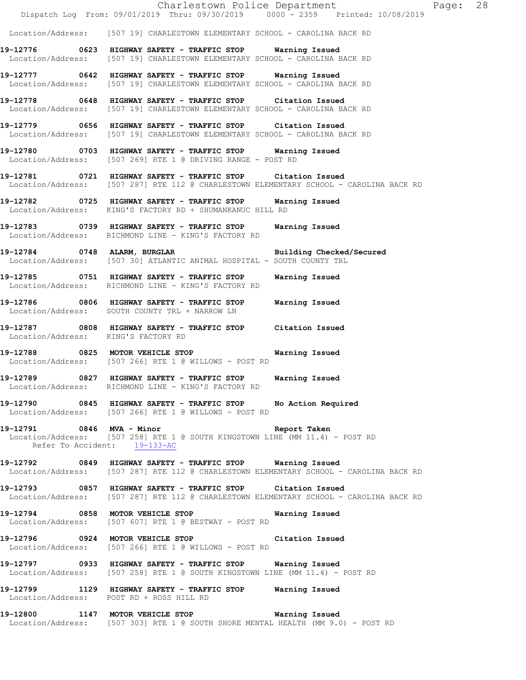Charlestown Police Department Fage: 28 Dispatch Log From: 09/01/2019 Thru: 09/30/2019 0000 - 2359 Printed: 10/08/2019 Location/Address: [507 19] CHARLESTOWN ELEMENTARY SCHOOL - CAROLINA BACK RD **19-12776 0623 HIGHWAY SAFETY - TRAFFIC STOP Warning Issued**  Location/Address: [507 19] CHARLESTOWN ELEMENTARY SCHOOL - CAROLINA BACK RD **19-12777 0642 HIGHWAY SAFETY - TRAFFIC STOP Warning Issued**  Location/Address: [507 19] CHARLESTOWN ELEMENTARY SCHOOL - CAROLINA BACK RD **19-12778 0648 HIGHWAY SAFETY - TRAFFIC STOP Citation Issued**  Location/Address: [507 19] CHARLESTOWN ELEMENTARY SCHOOL - CAROLINA BACK RD **19-12779 0656 HIGHWAY SAFETY - TRAFFIC STOP Citation Issued**  Location/Address: [507 19] CHARLESTOWN ELEMENTARY SCHOOL - CAROLINA BACK RD **19-12780 0703 HIGHWAY SAFETY - TRAFFIC STOP Warning Issued**  Location/Address: [507 269] RTE 1 @ DRIVING RANGE - POST RD **19-12781 0721 HIGHWAY SAFETY - TRAFFIC STOP Citation Issued**  Location/Address: [507 287] RTE 112 @ CHARLESTOWN ELEMENTARY SCHOOL - CAROLINA BACK RD **19-12782 0725 HIGHWAY SAFETY - TRAFFIC STOP Warning Issued**  Location/Address: KING'S FACTORY RD + SHUMANKANUC HILL RD **19-12783 0739 HIGHWAY SAFETY - TRAFFIC STOP Warning Issued**  Location/Address: RICHMOND LINE - KING'S FACTORY RD **19-12784 0748 ALARM, BURGLAR Building Checked/Secured**  Location/Address: [507 30] ATLANTIC ANIMAL HOSPITAL - SOUTH COUNTY TRL **19-12785 0751 HIGHWAY SAFETY - TRAFFIC STOP Warning Issued**  Location/Address: RICHMOND LINE - KING'S FACTORY RD **19-12786 0806 HIGHWAY SAFETY - TRAFFIC STOP Warning Issued**  Location/Address: SOUTH COUNTY TRL + NARROW LN **19-12787 0808 HIGHWAY SAFETY - TRAFFIC STOP Citation Issued**  Location/Address: KING'S FACTORY RD **19-12788 0825 MOTOR VEHICLE STOP Warning Issued**  Location/Address: [507 266] RTE 1 @ WILLOWS - POST RD **19-12789 0827 HIGHWAY SAFETY - TRAFFIC STOP Warning Issued**  Location/Address: RICHMOND LINE - KING'S FACTORY RD **19-12790 0845 HIGHWAY SAFETY - TRAFFIC STOP No Action Required**  Location/Address: [507 266] RTE 1 @ WILLOWS - POST RD **19-12791 0846 MVA - Minor Report Taken**  Location/Address: [507 258] RTE 1 @ SOUTH KINGSTOWN LINE (MM 11.4) - POST RD Refer To Accident: 19-133-AC **19-12792 0849 HIGHWAY SAFETY - TRAFFIC STOP Warning Issued**  Location/Address: [507 287] RTE 112 @ CHARLESTOWN ELEMENTARY SCHOOL - CAROLINA BACK RD **19-12793 0857 HIGHWAY SAFETY - TRAFFIC STOP Citation Issued**  Location/Address: [507 287] RTE 112 @ CHARLESTOWN ELEMENTARY SCHOOL - CAROLINA BACK RD **19-12794 0858 MOTOR VEHICLE STOP Warning Issued**  Location/Address: [507 607] RTE 1 @ BESTWAY - POST RD **19-12796 0924 MOTOR VEHICLE STOP Citation Issued**  Location/Address: [507 266] RTE 1 @ WILLOWS - POST RD **19-12797 0933 HIGHWAY SAFETY - TRAFFIC STOP Warning Issued**  Location/Address: [507 258] RTE 1 @ SOUTH KINGSTOWN LINE (MM 11.4) - POST RD **19-12799 1129 HIGHWAY SAFETY - TRAFFIC STOP Warning Issued**  Location/Address: POST RD + ROSS HILL RD **19-12800 1147 MOTOR VEHICLE STOP Warning Issued**  Location/Address: [507 303] RTE 1 @ SOUTH SHORE MENTAL HEALTH (MM 9.0) - POST RD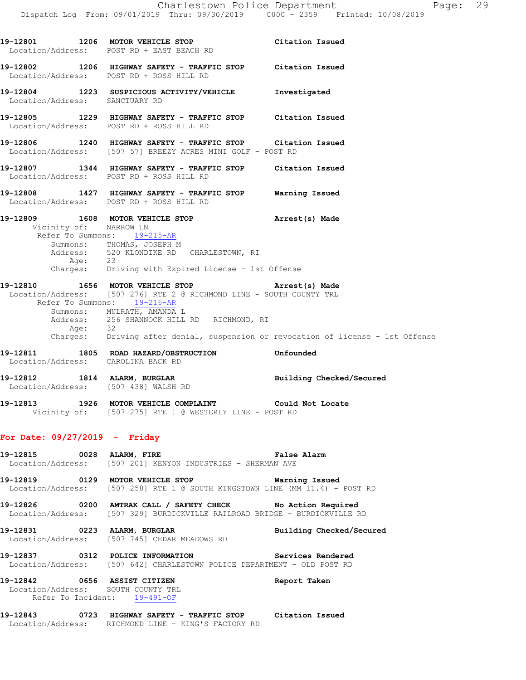**19-12801 1206 MOTOR VEHICLE STOP Citation Issued**  Location/Address: POST RD + EAST BEACH RD **19-12802 1206 HIGHWAY SAFETY - TRAFFIC STOP Citation Issued**  Location/Address: POST RD + ROSS HILL RD **19-12804 1223 SUSPICIOUS ACTIVITY/VEHICLE Investigated**  Location/Address: SANCTUARY RD **19-12805 1229 HIGHWAY SAFETY - TRAFFIC STOP Citation Issued**  Location/Address: POST RD + ROSS HILL RD **19-12806 1240 HIGHWAY SAFETY - TRAFFIC STOP Citation Issued**  Location/Address: [507 57] BREEZY ACRES MINI GOLF - POST RD **19-12807 1344 HIGHWAY SAFETY - TRAFFIC STOP Citation Issued**  Location/Address: POST RD + ROSS HILL RD **19-12808 1427 HIGHWAY SAFETY - TRAFFIC STOP Warning Issued**  Location/Address: POST RD + ROSS HILL RD **19-12809 1608 MOTOR VEHICLE STOP Arrest(s) Made**  Vicinity of: NARROW LN Refer To Summons: 19-215-AR Summons: THOMAS, JOSEPH M Address: 520 KLONDIKE RD CHARLESTOWN, RI Age: 23 Charges: Driving with Expired License - 1st Offense **19-12810 1656 MOTOR VEHICLE STOP Arrest(s) Made**  Location/Address: [507 276] RTE 2 @ RICHMOND LINE - SOUTH COUNTY TRL Refer To Summons: 19-216-AR Summons: MULRATH, AMANDA L Address: 256 SHANNOCK HILL RD RICHMOND, RI Age: 32 Charges: Driving after denial, suspension or revocation of license - 1st Offense **19-12811 1805 ROAD HAZARD/OBSTRUCTION Unfounded**  Location/Address: CAROLINA BACK RD **19-12812 1814 ALARM, BURGLAR Building Checked/Secured**  Location/Address: [507 438] WALSH RD **19-12813 1926 MOTOR VEHICLE COMPLAINT Could Not Locate**  Vicinity of: [507 275] RTE 1 @ WESTERLY LINE - POST RD **For Date: 09/27/2019 - Friday 19-12815 0028 ALARM, FIRE False Alarm**  Location/Address: [507 201] KENYON INDUSTRIES - SHERMAN AVE **19-12819 0129 MOTOR VEHICLE STOP Warning Issued**  Location/Address: [507 258] RTE 1 @ SOUTH KINGSTOWN LINE (MM 11.4) - POST RD **19-12826 0200 AMTRAK CALL / SAFETY CHECK No Action Required**  Location/Address: [507 329] BURDICKVILLE RAILROAD BRIDGE - BURDICKVILLE RD **19-12831 0223 ALARM, BURGLAR Building Checked/Secured**  Location/Address: [507 745] CEDAR MEADOWS RD **19-12837 0312 POLICE INFORMATION Services Rendered**  Location/Address: [507 642] CHARLESTOWN POLICE DEPARTMENT - OLD POST RD **19-12842 0656 ASSIST CITIZEN Report Taken**  Location/Address: SOUTH COUNTY TRL Refer To Incident: 19-491-OF **19-12843 0723 HIGHWAY SAFETY - TRAFFIC STOP Citation Issued**  Location/Address: RICHMOND LINE - KING'S FACTORY RD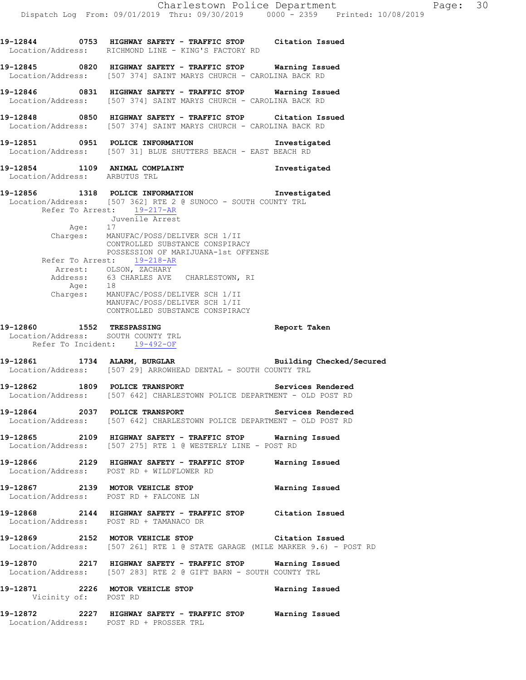**19-12844 0753 HIGHWAY SAFETY - TRAFFIC STOP Citation Issued**  Location/Address: RICHMOND LINE - KING'S FACTORY RD **19-12845 0820 HIGHWAY SAFETY - TRAFFIC STOP Warning Issued**  Location/Address: [507 374] SAINT MARYS CHURCH - CAROLINA BACK RD **19-12846 0831 HIGHWAY SAFETY - TRAFFIC STOP Warning Issued**  Location/Address: [507 374] SAINT MARYS CHURCH - CAROLINA BACK RD **19-12848 0850 HIGHWAY SAFETY - TRAFFIC STOP Citation Issued**  Location/Address: [507 374] SAINT MARYS CHURCH - CAROLINA BACK RD **19-12851 0951 POLICE INFORMATION Investigated**  Location/Address: [507 31] BLUE SHUTTERS BEACH - EAST BEACH RD **19-12854 1109 ANIMAL COMPLAINT Investigated**  Location/Address: ARBUTUS TRL **19-12856 1318 POLICE INFORMATION Investigated**  Location/Address: [507 362] RTE 2 @ SUNOCO - SOUTH COUNTY TRL Refer To Arrest: 19-217-AR Juvenile Arrest Age: 17 Charges: MANUFAC/POSS/DELIVER SCH 1/II CONTROLLED SUBSTANCE CONSPIRACY POSSESSION OF MARIJUANA-1st OFFENSE Refer To Arrest: 19-218-AR Arrest: OLSON, ZACHARY Address: 63 CHARLES AVE CHARLESTOWN, RI Age: 18 Charges: MANUFAC/POSS/DELIVER SCH 1/II MANUFAC/POSS/DELIVER SCH 1/II CONTROLLED SUBSTANCE CONSPIRACY **19-12860 1552 TRESPASSING Report Taken**  Location/Address: SOUTH COUNTY TRL Refer To Incident: 19-492-OF **19-12861 1734 ALARM, BURGLAR Building Checked/Secured**  Location/Address: [507 29] ARROWHEAD DENTAL - SOUTH COUNTY TRL **19-12862 1809 POLICE TRANSPORT Services Rendered**  Location/Address: [507 642] CHARLESTOWN POLICE DEPARTMENT - OLD POST RD **19-12864 2037 POLICE TRANSPORT Services Rendered**  Location/Address: [507 642] CHARLESTOWN POLICE DEPARTMENT - OLD POST RD **19-12865 2109 HIGHWAY SAFETY - TRAFFIC STOP Warning Issued**  Location/Address: [507 275] RTE 1 @ WESTERLY LINE - POST RD **19-12866 2129 HIGHWAY SAFETY - TRAFFIC STOP Warning Issued**  Location/Address: POST RD + WILDFLOWER RD **19-12867 2139 MOTOR VEHICLE STOP Warning Issued** Location/Address: POST RD + FALCONE LN POST RD + FALCONE LN **19-12868 2144 HIGHWAY SAFETY - TRAFFIC STOP Citation Issued**  Location/Address: POST RD + TAMANACO DR **19-12869 2152 MOTOR VEHICLE STOP Citation Issued**  Location/Address: [507 261] RTE 1 @ STATE GARAGE (MILE MARKER 9.6) - POST RD **19-12870 2217 HIGHWAY SAFETY - TRAFFIC STOP Warning Issued**  Location/Address: [507 283] RTE 2 @ GIFT BARN - SOUTH COUNTY TRL **19-12871 2226 MOTOR VEHICLE STOP Warning Issued**  Vicinity of: POST RD

**19-12872 2227 HIGHWAY SAFETY - TRAFFIC STOP Warning Issued**  Location/Address: POST RD + PROSSER TRL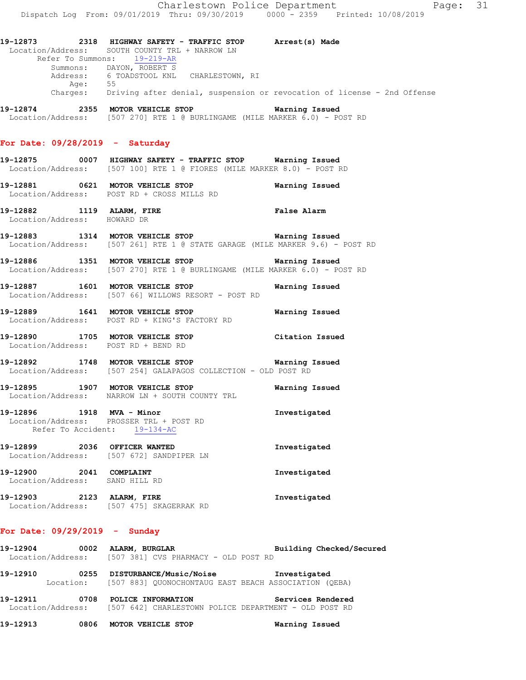**19-12873 2318 HIGHWAY SAFETY - TRAFFIC STOP Arrest(s) Made**  Location/Address: SOUTH COUNTY TRL + NARROW LN Refer To Summons: 19-219-AR Summons: DAYON, ROBERT S Address: 6 TOADSTOOL KNL CHARLESTOWN, RI Age: 55 Charges: Driving after denial, suspension or revocation of license - 2nd Offense **19-12874 2355 MOTOR VEHICLE STOP Warning Issued**  Location/Address: [507 270] RTE 1 @ BURLINGAME (MILE MARKER 6.0) - POST RD

# **For Date: 09/28/2019 - Saturday**

**19-12875 0007 HIGHWAY SAFETY - TRAFFIC STOP Warning Issued**  Location/Address: [507 100] RTE 1 @ FIORES (MILE MARKER 8.0) - POST RD

- **19-12881 0621 MOTOR VEHICLE STOP Warning Issued**  Location/Address: POST RD + CROSS MILLS RD
- **19-12882 1119 ALARM, FIRE False Alarm**  Location/Address: HOWARD DR
- **19-12883 1314 MOTOR VEHICLE STOP Warning Issued**  Location/Address: [507 261] RTE 1 @ STATE GARAGE (MILE MARKER 9.6) - POST RD
- **19-12886 1351 MOTOR VEHICLE STOP Warning Issued**  Location/Address: [507 270] RTE 1 @ BURLINGAME (MILE MARKER 6.0) - POST RD
- **19-12887 1601 MOTOR VEHICLE STOP Warning Issued**  Location/Address: [507 66] WILLOWS RESORT - POST RD
- **19-12889 1641 MOTOR VEHICLE STOP Warning Issued**  Location/Address: POST RD + KING'S FACTORY RD
- **19-12890 1705 MOTOR VEHICLE STOP Citation Issued**  Location/Address: POST RD + BEND RD
- **19-12892 1748 MOTOR VEHICLE STOP Warning Issued**  Location/Address: [507 254] GALAPAGOS COLLECTION - OLD POST RD
- **19-12895 1907 MOTOR VEHICLE STOP Warning Issued**  Location/Address: NARROW LN + SOUTH COUNTY TRL
- **19-12896 1918 MVA Minor Investigated**  Location/Address: PROSSER TRL + POST RD Refer To Accident: 19-134-AC
- **19-12899 2036 OFFICER WANTED Investigated**  Location/Address: [507 672] SANDPIPER LN **19-12900 2041 COMPLAINT Investigated**
- Location/Address: SAND HILL RD **19-12903 2123 ALARM, FIRE Investigated**  Location/Address: [507 475] SKAGERRAK RD

### **For Date: 09/29/2019 - Sunday**

- 19-12904 0002 ALARM, BURGLAR **Building Checked/Secured** Location/Address: [507 381] CVS PHARMACY - OLD POST RD
- **19-12910 0255 DISTURBANCE/Music/Noise Investigated**  Location: [507 883] QUONOCHONTAUG EAST BEACH ASSOCIATION (QEBA)
- **19-12911 0708 POLICE INFORMATION Services Rendered**  Location/Address: [507 642] CHARLESTOWN POLICE DEPARTMENT - OLD POST RD
- **19-12913 0806 MOTOR VEHICLE STOP Warning Issued**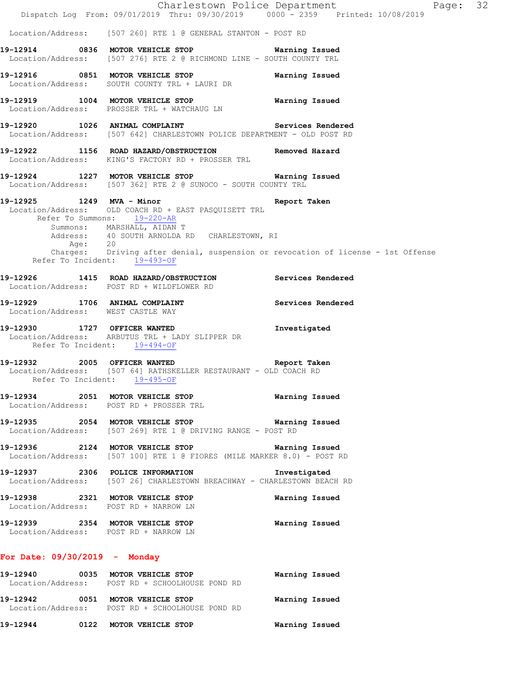|                                   |         | Dispatch Log From: 09/01/2019 Thru: 09/30/2019 0000 - 2359 Printed: 10/08/2019                                                                                                                    | Charlestown Police Department<br>Page: 32                                                        |
|-----------------------------------|---------|---------------------------------------------------------------------------------------------------------------------------------------------------------------------------------------------------|--------------------------------------------------------------------------------------------------|
|                                   |         | Location/Address: [507 260] RTE 1 @ GENERAL STANTON - POST RD                                                                                                                                     |                                                                                                  |
|                                   |         | 19-12914 0836 MOTOR VEHICLE STOP 6 Warning Issued<br>Location/Address: [507 276] RTE 2 @ RICHMOND LINE - SOUTH COUNTY TRL                                                                         |                                                                                                  |
|                                   |         | 19-12916 0851 MOTOR VEHICLE STOP<br>Location/Address: SOUTH COUNTY TRL + LAURI DR                                                                                                                 | Warning Issued                                                                                   |
|                                   |         | 19-12919 1004 MOTOR VEHICLE STOP 6 Warning Issued<br>Location/Address: PROSSER TRL + WATCHAUG LN                                                                                                  |                                                                                                  |
|                                   |         | 19-12920 1026 ANIMAL COMPLAINT Services Rendered<br>Location/Address: [507 642] CHARLESTOWN POLICE DEPARTMENT - OLD POST RD                                                                       |                                                                                                  |
|                                   |         | 19-12922 1156 ROAD HAZARD/OBSTRUCTION<br>Location/Address: KING'S FACTORY RD + PROSSER TRL                                                                                                        | Removed Hazard                                                                                   |
|                                   |         | 19-12924 1227 MOTOR VEHICLE STOP Warning Issued<br>Location/Address: [507 362] RTE 2 @ SUNOCO - SOUTH COUNTY TRL                                                                                  |                                                                                                  |
| 19-12925 1249 MVA - Minor         | Age: 20 | Location/Address: OLD COACH RD + EAST PASQUISETT TRL<br>Refer To Summons: 19-220-AR<br>Summons: MARSHALL, AIDAN T<br>Address: 40 SOUTH ARNOLDA RD CHARLESTOWN, RI<br>Refer To Incident: 19-493-OF | Report Taken<br>Charges: Driving after denial, suspension or revocation of license - 1st Offense |
|                                   |         | 19-12926 1415 ROAD HAZARD/OBSTRUCTION Services Rendered<br>Location/Address: POST RD + WILDFLOWER RD                                                                                              |                                                                                                  |
| Location/Address: WEST CASTLE WAY |         | 19-12929 1706 ANIMAL COMPLAINT                                                                                                                                                                    | Services Rendered                                                                                |
|                                   |         | 19-12930 1727 OFFICER WANTED<br>Location/Address: ARBUTUS TRL + LADY SLIPPER DR<br>Refer To Incident: 19-494-OF                                                                                   | Investigated                                                                                     |
| 19-12932 2005 OFFICER WANTED      |         | Report Taken<br>Location/Address: [507 64] RATHSKELLER RESTAURANT - OLD COACH RD<br>Refer To Incident: 19-495-OF                                                                                  |                                                                                                  |
|                                   |         | 19-12934 2051 MOTOR VEHICLE STOP<br>Location/Address: POST RD + PROSSER TRL                                                                                                                       | Warning Issued                                                                                   |
|                                   |         | 19-12935 2054 MOTOR VEHICLE STOP 6 Warning Issued<br>Location/Address: [507 269] RTE 1 @ DRIVING RANGE - POST RD                                                                                  |                                                                                                  |
|                                   |         | 19-12936 2124 MOTOR VEHICLE STOP 6 Warning Issued<br>Location/Address: [507 100] RTE 1 @ FIORES (MILE MARKER 8.0) - POST RD                                                                       |                                                                                                  |
|                                   |         | 19-12937 2306 POLICE INFORMATION 5 Investigated<br>Location/Address: [507 26] CHARLESTOWN BREACHWAY - CHARLESTOWN BEACH RD                                                                        |                                                                                                  |
|                                   |         | 19-12938 2321 MOTOR VEHICLE STOP<br>Location/Address: POST RD + NARROW LN                                                                                                                         | Warning Issued                                                                                   |
|                                   |         | 19-12939 2354 MOTOR VEHICLE STOP<br>Location/Address: POST RD + NARROW LN                                                                                                                         | Warning Issued                                                                                   |
| For Date: $09/30/2019$ - Monday   |         |                                                                                                                                                                                                   |                                                                                                  |
|                                   |         | 19-12940 0035 MOTOR VEHICLE STOP<br>Location/Address: POST RD + SCHOOLHOUSE POND RD                                                                                                               | Warning Issued                                                                                   |
|                                   |         | 19-12942 0051 MOTOR VEHICLE STOP<br>Location/Address: POST RD + SCHOOLHOUSE POND RD                                                                                                               | Warning Issued                                                                                   |
|                                   |         | 19-12944 0122 MOTOR VEHICLE STOP                                                                                                                                                                  | Warning Issued                                                                                   |
|                                   |         |                                                                                                                                                                                                   |                                                                                                  |